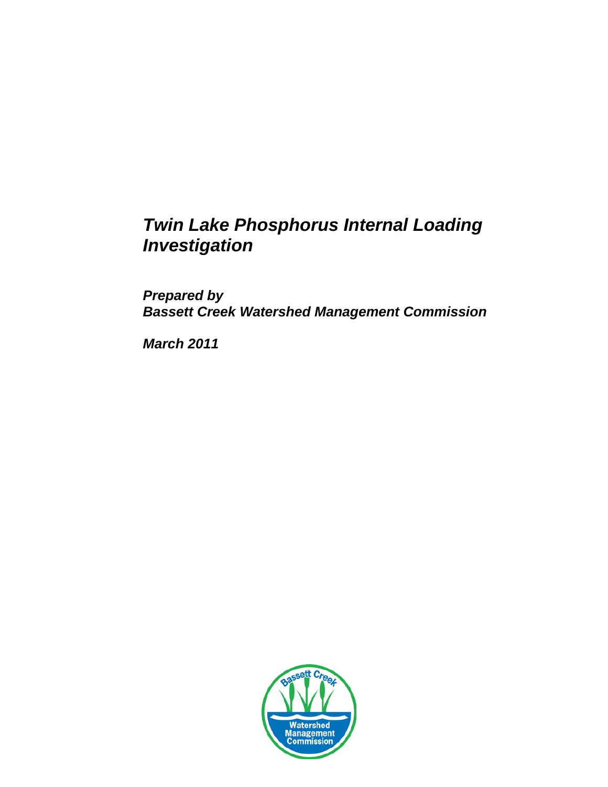# *Twin Lake Phosphorus Internal Loading Investigation*

*Prepared by Bassett Creek Watershed Management Commission*

*March 2011*

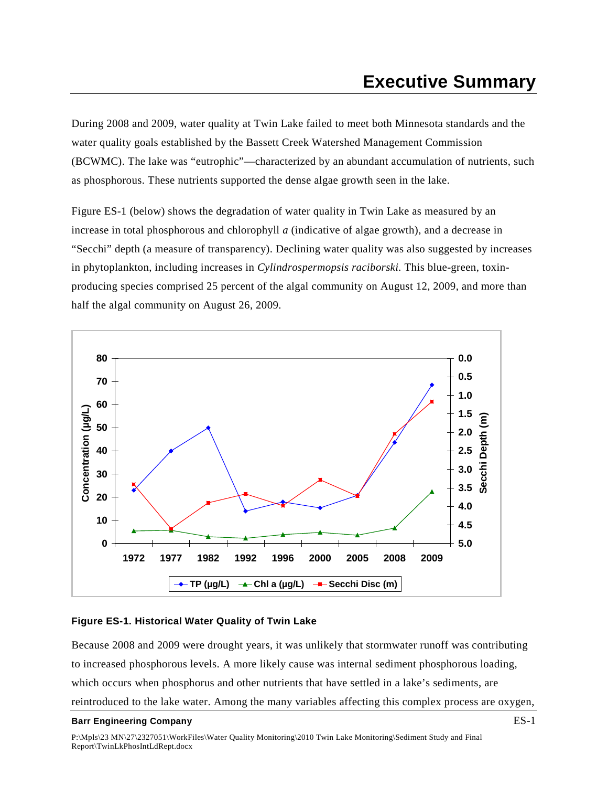<span id="page-1-0"></span>During 2008 and 2009, water quality at Twin Lake failed to meet both Minnesota standards and the water quality goals established by the Bassett Creek Watershed Management Commission (BCWMC). The lake was "eutrophic"—characterized by an abundant accumulation of nutrients, such as phosphorous. These nutrients supported the dense algae growth seen in the lake.

Figure ES-1 (below) shows the degradation of water quality in Twin Lake as measured by an increase in total phosphorous and chlorophyll *a* (indicative of algae growth), and a decrease in "Secchi" depth (a measure of transparency). Declining water quality was also suggested by increases in phytoplankton, including increases in *Cylindrospermopsis raciborski.* This blue-green, toxinproducing species comprised 25 percent of the algal community on August 12, 2009, and more than half the algal community on August 26, 2009.



### <span id="page-1-1"></span>**Figure ES-1. Historical Water Quality of Twin Lake**

Because 2008 and 2009 were drought years, it was unlikely that stormwater runoff was contributing to increased phosphorous levels. A more likely cause was internal sediment phosphorous loading, which occurs when phosphorus and other nutrients that have settled in a lake's sediments, are reintroduced to the lake water. Among the many variables affecting this complex process are oxygen,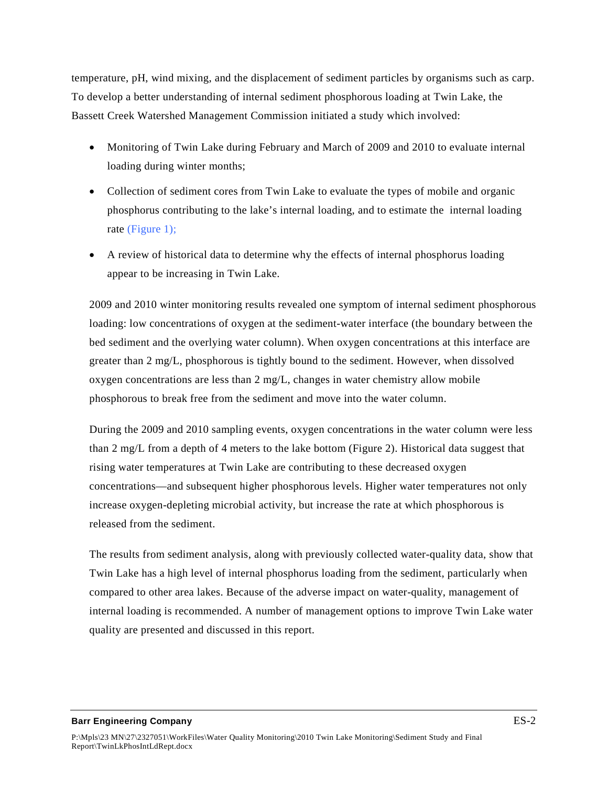temperature, pH, wind mixing, and the displacement of sediment particles by organisms such as carp. To develop a better understanding of internal sediment phosphorous loading at Twin Lake, the Bassett Creek Watershed Management Commission initiated a study which involved:

- Monitoring of Twin Lake during February and March of 2009 and 2010 to evaluate internal loading during winter months;
- Collection of sediment cores from Twin Lake to evaluate the types of mobile and organic phosphorus contributing to the lake's internal loading, and to estimate the internal loading rate (Figure 1);
- A review of historical data to determine why the effects of internal phosphorus loading appear to be increasing in Twin Lake.

2009 and 2010 winter monitoring results revealed one symptom of internal sediment phosphorous loading: low concentrations of oxygen at the sediment-water interface (the boundary between the bed sediment and the overlying water column). When oxygen concentrations at this interface are greater than 2 mg/L, phosphorous is tightly bound to the sediment. However, when dissolved oxygen concentrations are less than 2 mg/L, changes in water chemistry allow mobile phosphorous to break free from the sediment and move into the water column.

During the 2009 and 2010 sampling events, oxygen concentrations in the water column were less than 2 mg/L from a depth of 4 meters to the lake bottom (Figure 2). Historical data suggest that rising water temperatures at Twin Lake are contributing to these decreased oxygen concentrations—and subsequent higher phosphorous levels. Higher water temperatures not only increase oxygen-depleting microbial activity, but increase the rate at which phosphorous is released from the sediment.

The results from sediment analysis, along with previously collected water-quality data, show that Twin Lake has a high level of internal phosphorus loading from the sediment, particularly when compared to other area lakes. Because of the adverse impact on water-quality, management of internal loading is recommended. A number of management options to improve Twin Lake water quality are presented and discussed in this report.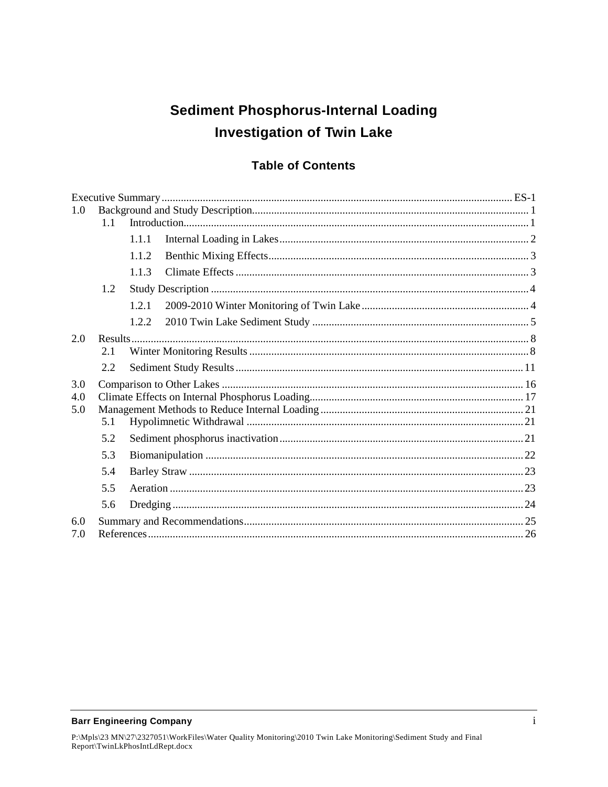# **Sediment Phosphorus-Internal Loading Investigation of Twin Lake**

### **Table of Contents**

| 1.0 |           |       |  |  |  |  |  |  |
|-----|-----------|-------|--|--|--|--|--|--|
|     | 1.1       |       |  |  |  |  |  |  |
|     |           | 1.1.1 |  |  |  |  |  |  |
|     |           | 1.1.2 |  |  |  |  |  |  |
|     |           | 1.1.3 |  |  |  |  |  |  |
|     | 1.2       |       |  |  |  |  |  |  |
|     |           | 1.2.1 |  |  |  |  |  |  |
|     |           | 1.2.2 |  |  |  |  |  |  |
| 2.0 | $Results$ |       |  |  |  |  |  |  |
|     | 2.1       |       |  |  |  |  |  |  |
|     | 2.2       |       |  |  |  |  |  |  |
| 3.0 |           |       |  |  |  |  |  |  |
| 4.0 |           |       |  |  |  |  |  |  |
| 5.0 |           |       |  |  |  |  |  |  |
|     | 5.1       |       |  |  |  |  |  |  |
|     | 5.2       |       |  |  |  |  |  |  |
|     | 5.3       |       |  |  |  |  |  |  |
|     | 5.4       |       |  |  |  |  |  |  |
|     | 5.5       |       |  |  |  |  |  |  |
|     | 5.6       |       |  |  |  |  |  |  |
| 6.0 |           |       |  |  |  |  |  |  |
| 7.0 |           |       |  |  |  |  |  |  |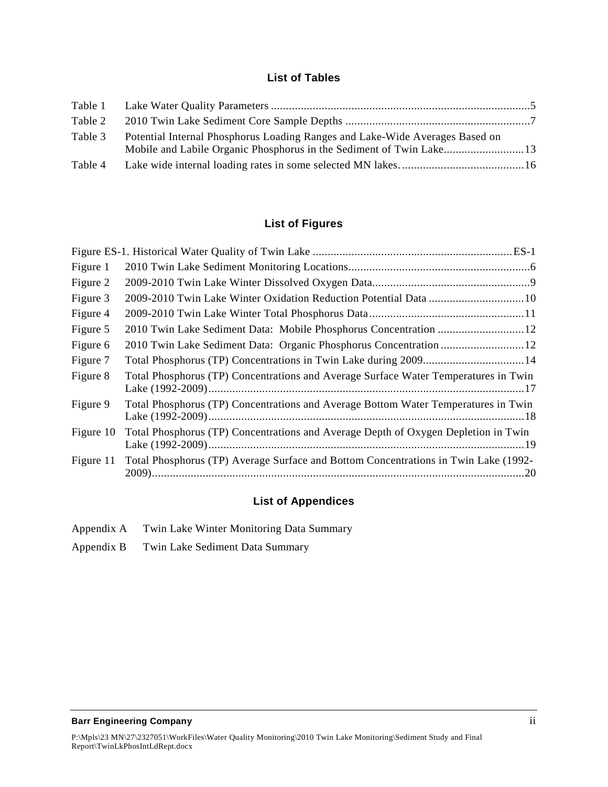### **List of Tables**

| Table 2 |                                                                              |  |
|---------|------------------------------------------------------------------------------|--|
| Table 3 | Potential Internal Phosphorus Loading Ranges and Lake-Wide Averages Based on |  |
| Table 4 |                                                                              |  |

### **List of Figures**

| Figure 1  |                                                                                     |
|-----------|-------------------------------------------------------------------------------------|
| Figure 2  |                                                                                     |
| Figure 3  |                                                                                     |
| Figure 4  |                                                                                     |
| Figure 5  | 2010 Twin Lake Sediment Data: Mobile Phosphorus Concentration  12                   |
| Figure 6  |                                                                                     |
| Figure 7  | Total Phosphorus (TP) Concentrations in Twin Lake during 2009 14                    |
| Figure 8  | Total Phosphorus (TP) Concentrations and Average Surface Water Temperatures in Twin |
| Figure 9  | Total Phosphorus (TP) Concentrations and Average Bottom Water Temperatures in Twin  |
| Figure 10 | Total Phosphorus (TP) Concentrations and Average Depth of Oxygen Depletion in Twin  |
| Figure 11 | Total Phosphorus (TP) Average Surface and Bottom Concentrations in Twin Lake (1992- |

### **List of Appendices**

- [Appendix A Twin Lake Winter Monitoring Data Summary](#page-31-0)
- [Appendix B Twin Lake Sediment Data Summary](#page-36-0)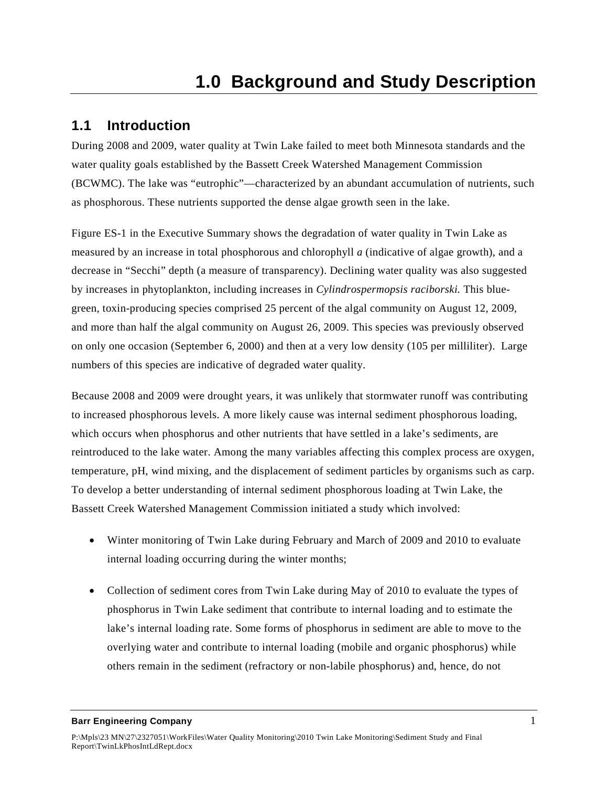## <span id="page-5-1"></span><span id="page-5-0"></span>**1.1 Introduction**

During 2008 and 2009, water quality at Twin Lake failed to meet both Minnesota standards and the water quality goals established by the Bassett Creek Watershed Management Commission (BCWMC). The lake was "eutrophic"—characterized by an abundant accumulation of nutrients, such as phosphorous. These nutrients supported the dense algae growth seen in the lake.

Figure ES-1 in the Executive Summary shows the degradation of water quality in Twin Lake as measured by an increase in total phosphorous and chlorophyll *a* (indicative of algae growth), and a decrease in "Secchi" depth (a measure of transparency). Declining water quality was also suggested by increases in phytoplankton, including increases in *Cylindrospermopsis raciborski.* This bluegreen, toxin-producing species comprised 25 percent of the algal community on August 12, 2009, and more than half the algal community on August 26, 2009. This species was previously observed on only one occasion (September 6, 2000) and then at a very low density (105 per milliliter). Large numbers of this species are indicative of degraded water quality.

Because 2008 and 2009 were drought years, it was unlikely that stormwater runoff was contributing to increased phosphorous levels. A more likely cause was internal sediment phosphorous loading, which occurs when phosphorus and other nutrients that have settled in a lake's sediments, are reintroduced to the lake water. Among the many variables affecting this complex process are oxygen, temperature, pH, wind mixing, and the displacement of sediment particles by organisms such as carp. To develop a better understanding of internal sediment phosphorous loading at Twin Lake, the Bassett Creek Watershed Management Commission initiated a study which involved:

- Winter monitoring of Twin Lake during February and March of 2009 and 2010 to evaluate internal loading occurring during the winter months;
- Collection of sediment cores from Twin Lake during May of 2010 to evaluate the types of phosphorus in Twin Lake sediment that contribute to internal loading and to estimate the lake's internal loading rate. Some forms of phosphorus in sediment are able to move to the overlying water and contribute to internal loading (mobile and organic phosphorus) while others remain in the sediment (refractory or non-labile phosphorus) and, hence, do not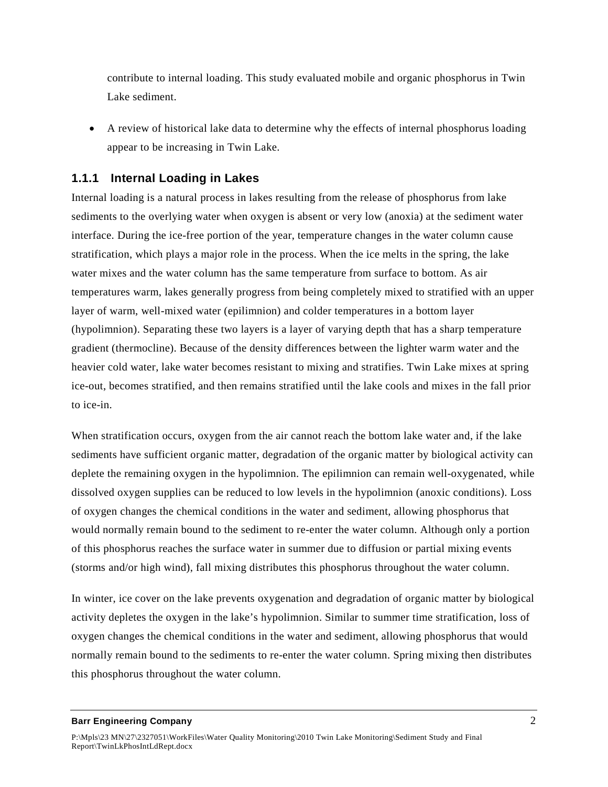contribute to internal loading. This study evaluated mobile and organic phosphorus in Twin Lake sediment.

• A review of historical lake data to determine why the effects of internal phosphorus loading appear to be increasing in Twin Lake.

### <span id="page-6-0"></span>**1.1.1 Internal Loading in Lakes**

Internal loading is a natural process in lakes resulting from the release of phosphorus from lake sediments to the overlying water when oxygen is absent or very low (anoxia) at the sediment water interface. During the ice-free portion of the year, temperature changes in the water column cause stratification, which plays a major role in the process. When the ice melts in the spring, the lake water mixes and the water column has the same temperature from surface to bottom. As air temperatures warm, lakes generally progress from being completely mixed to stratified with an upper layer of warm, well-mixed water (epilimnion) and colder temperatures in a bottom layer (hypolimnion). Separating these two layers is a layer of varying depth that has a sharp temperature gradient (thermocline). Because of the density differences between the lighter warm water and the heavier cold water, lake water becomes resistant to mixing and stratifies. Twin Lake mixes at spring ice-out, becomes stratified, and then remains stratified until the lake cools and mixes in the fall prior to ice-in.

When stratification occurs, oxygen from the air cannot reach the bottom lake water and, if the lake sediments have sufficient organic matter, degradation of the organic matter by biological activity can deplete the remaining oxygen in the hypolimnion. The epilimnion can remain well-oxygenated, while dissolved oxygen supplies can be reduced to low levels in the hypolimnion (anoxic conditions). Loss of oxygen changes the chemical conditions in the water and sediment, allowing phosphorus that would normally remain bound to the sediment to re-enter the water column. Although only a portion of this phosphorus reaches the surface water in summer due to diffusion or partial mixing events (storms and/or high wind), fall mixing distributes this phosphorus throughout the water column.

In winter, ice cover on the lake prevents oxygenation and degradation of organic matter by biological activity depletes the oxygen in the lake's hypolimnion. Similar to summer time stratification, loss of oxygen changes the chemical conditions in the water and sediment, allowing phosphorus that would normally remain bound to the sediments to re-enter the water column. Spring mixing then distributes this phosphorus throughout the water column.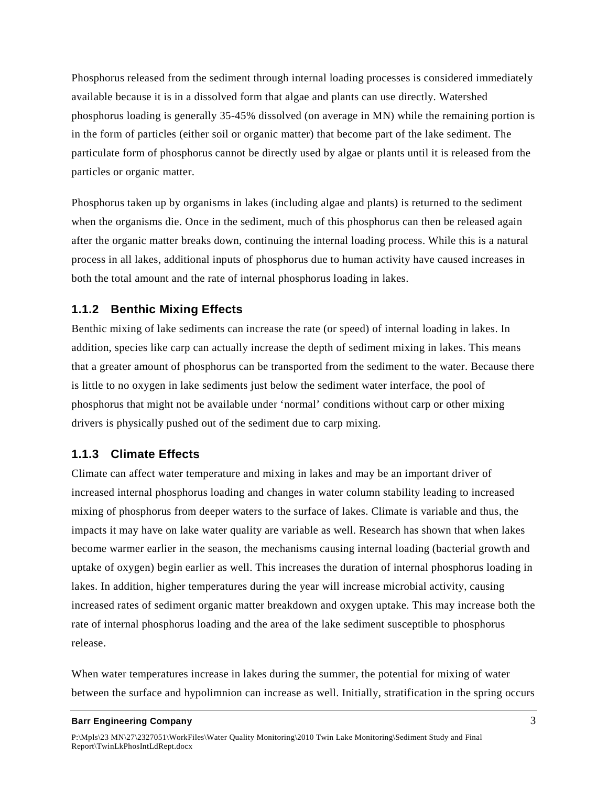Phosphorus released from the sediment through internal loading processes is considered immediately available because it is in a dissolved form that algae and plants can use directly. Watershed phosphorus loading is generally 35-45% dissolved (on average in MN) while the remaining portion is in the form of particles (either soil or organic matter) that become part of the lake sediment. The particulate form of phosphorus cannot be directly used by algae or plants until it is released from the particles or organic matter.

Phosphorus taken up by organisms in lakes (including algae and plants) is returned to the sediment when the organisms die. Once in the sediment, much of this phosphorus can then be released again after the organic matter breaks down, continuing the internal loading process. While this is a natural process in all lakes, additional inputs of phosphorus due to human activity have caused increases in both the total amount and the rate of internal phosphorus loading in lakes.

### <span id="page-7-0"></span>**1.1.2 Benthic Mixing Effects**

Benthic mixing of lake sediments can increase the rate (or speed) of internal loading in lakes. In addition, species like carp can actually increase the depth of sediment mixing in lakes. This means that a greater amount of phosphorus can be transported from the sediment to the water. Because there is little to no oxygen in lake sediments just below the sediment water interface, the pool of phosphorus that might not be available under 'normal' conditions without carp or other mixing drivers is physically pushed out of the sediment due to carp mixing.

### <span id="page-7-1"></span>**1.1.3 Climate Effects**

Climate can affect water temperature and mixing in lakes and may be an important driver of increased internal phosphorus loading and changes in water column stability leading to increased mixing of phosphorus from deeper waters to the surface of lakes. Climate is variable and thus, the impacts it may have on lake water quality are variable as well. Research has shown that when lakes become warmer earlier in the season, the mechanisms causing internal loading (bacterial growth and uptake of oxygen) begin earlier as well. This increases the duration of internal phosphorus loading in lakes. In addition, higher temperatures during the year will increase microbial activity, causing increased rates of sediment organic matter breakdown and oxygen uptake. This may increase both the rate of internal phosphorus loading and the area of the lake sediment susceptible to phosphorus release.

When water temperatures increase in lakes during the summer, the potential for mixing of water between the surface and hypolimnion can increase as well. Initially, stratification in the spring occurs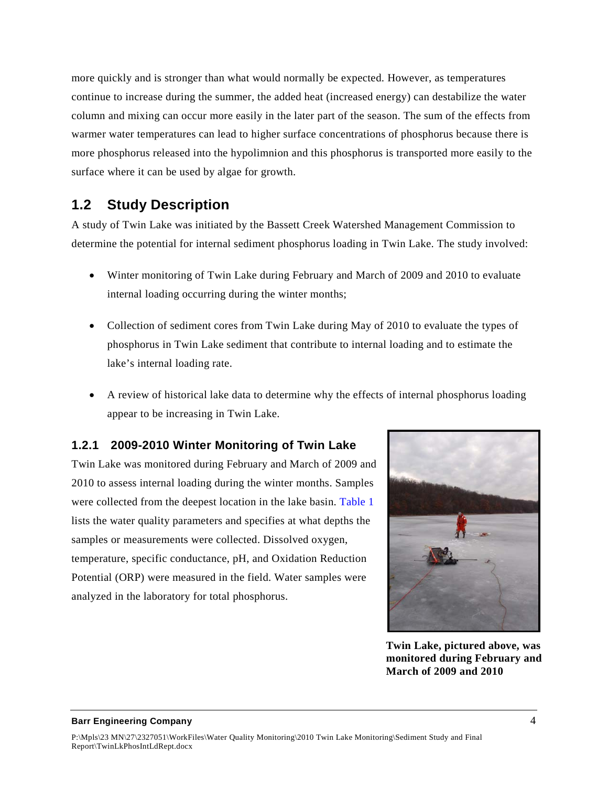more quickly and is stronger than what would normally be expected. However, as temperatures continue to increase during the summer, the added heat (increased energy) can destabilize the water column and mixing can occur more easily in the later part of the season. The sum of the effects from warmer water temperatures can lead to higher surface concentrations of phosphorus because there is more phosphorus released into the hypolimnion and this phosphorus is transported more easily to the surface where it can be used by algae for growth.

## <span id="page-8-0"></span>**1.2 Study Description**

A study of Twin Lake was initiated by the Bassett Creek Watershed Management Commission to determine the potential for internal sediment phosphorus loading in Twin Lake. The study involved:

- Winter monitoring of Twin Lake during February and March of 2009 and 2010 to evaluate internal loading occurring during the winter months;
- Collection of sediment cores from Twin Lake during May of 2010 to evaluate the types of phosphorus in Twin Lake sediment that contribute to internal loading and to estimate the lake's internal loading rate.
- A review of historical lake data to determine why the effects of internal phosphorus loading appear to be increasing in Twin Lake.

### <span id="page-8-1"></span>**1.2.1 2009-2010 Winter Monitoring of Twin Lake**

Twin Lake was monitored during February and March of 2009 and 2010 to assess internal loading during the winter months. Samples were collected from the deepest location in the lake basin. Table 1 lists the water quality parameters and specifies at what depths the samples or measurements were collected. Dissolved oxygen, temperature, specific conductance, pH, and Oxidation Reduction Potential (ORP) were measured in the field. Water samples were analyzed in the laboratory for total phosphorus.



**Twin Lake, pictured above, was monitored during February and March of 2009 and 2010**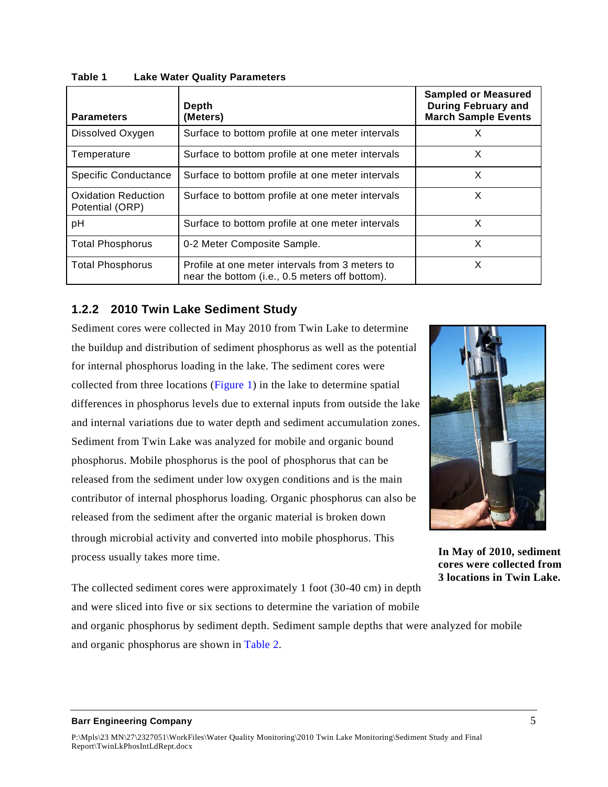| <b>Parameters</b>                             | Depth<br>(Meters)                                                                                 | <b>Sampled or Measured</b><br><b>During February and</b><br><b>March Sample Events</b> |
|-----------------------------------------------|---------------------------------------------------------------------------------------------------|----------------------------------------------------------------------------------------|
| Dissolved Oxygen                              | Surface to bottom profile at one meter intervals                                                  | X                                                                                      |
| Temperature                                   | Surface to bottom profile at one meter intervals                                                  | X                                                                                      |
| <b>Specific Conductance</b>                   | Surface to bottom profile at one meter intervals                                                  | X                                                                                      |
| <b>Oxidation Reduction</b><br>Potential (ORP) | Surface to bottom profile at one meter intervals                                                  | X                                                                                      |
| рH                                            | Surface to bottom profile at one meter intervals                                                  | X                                                                                      |
| <b>Total Phosphorus</b>                       | 0-2 Meter Composite Sample.                                                                       | X                                                                                      |
| <b>Total Phosphorus</b>                       | Profile at one meter intervals from 3 meters to<br>near the bottom (i.e., 0.5 meters off bottom). | x                                                                                      |

<span id="page-9-1"></span>**Table 1 Lake Water Quality Parameters**

### <span id="page-9-0"></span>**1.2.2 2010 Twin Lake Sediment Study**

Sediment cores were collected in May 2010 from Twin Lake to determine the buildup and distribution of sediment phosphorus as well as the potential for internal phosphorus loading in the lake. The sediment cores were collected from three locations (Figure 1) in the lake to determine spatial differences in phosphorus levels due to external inputs from outside the lake and internal variations due to water depth and sediment accumulation zones. Sediment from Twin Lake was analyzed for mobile and organic bound phosphorus. Mobile phosphorus is the pool of phosphorus that can be released from the sediment under low oxygen conditions and is the main contributor of internal phosphorus loading. Organic phosphorus can also be released from the sediment after the organic material is broken down through microbial activity and converted into mobile phosphorus. This process usually takes more time.



**In May of 2010, sediment cores were collected from 3 locations in Twin Lake.**

The collected sediment cores were approximately 1 foot (30-40 cm) in depth and were sliced into five or six sections to determine the variation of mobile

and organic phosphorus by sediment depth. Sediment sample depths that were analyzed for mobile and organic phosphorus are shown in Table 2.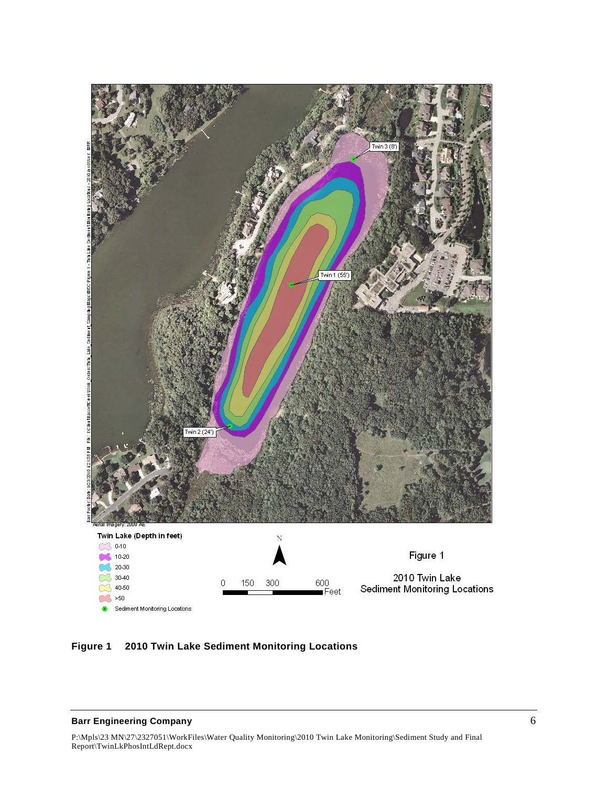

<span id="page-10-0"></span>**Figure 1 2010 Twin Lake Sediment Monitoring Locations**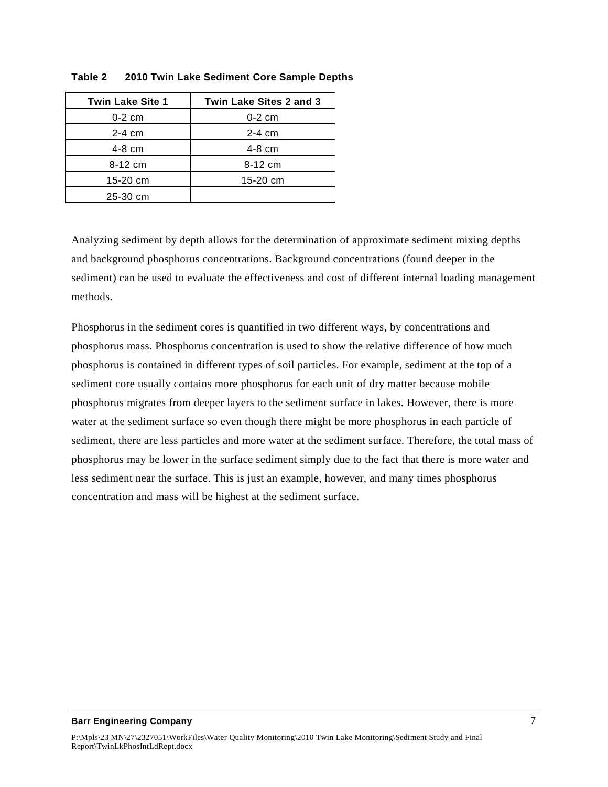| <b>Twin Lake Site 1</b> | Twin Lake Sites 2 and 3 |
|-------------------------|-------------------------|
| $0-2$ cm                | $0-2$ cm                |
| $2-4$ cm                | $2-4$ cm                |
| $4-8$ cm                | $4-8$ cm                |
| $8-12$ cm               | 8-12 cm                 |
| 15-20 cm                | 15-20 cm                |
| 25-30 cm                |                         |

#### <span id="page-11-0"></span>**Table 2 2010 Twin Lake Sediment Core Sample Depths**

Analyzing sediment by depth allows for the determination of approximate sediment mixing depths and background phosphorus concentrations. Background concentrations (found deeper in the sediment) can be used to evaluate the effectiveness and cost of different internal loading management methods.

Phosphorus in the sediment cores is quantified in two different ways, by concentrations and phosphorus mass. Phosphorus concentration is used to show the relative difference of how much phosphorus is contained in different types of soil particles. For example, sediment at the top of a sediment core usually contains more phosphorus for each unit of dry matter because mobile phosphorus migrates from deeper layers to the sediment surface in lakes. However, there is more water at the sediment surface so even though there might be more phosphorus in each particle of sediment, there are less particles and more water at the sediment surface. Therefore, the total mass of phosphorus may be lower in the surface sediment simply due to the fact that there is more water and less sediment near the surface. This is just an example, however, and many times phosphorus concentration and mass will be highest at the sediment surface.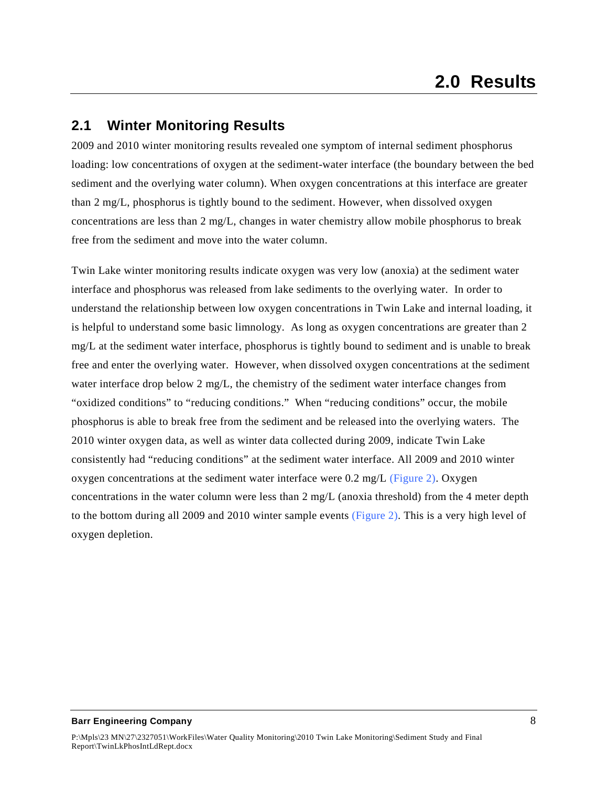### <span id="page-12-1"></span><span id="page-12-0"></span>**2.1 Winter Monitoring Results**

2009 and 2010 winter monitoring results revealed one symptom of internal sediment phosphorus loading: low concentrations of oxygen at the sediment-water interface (the boundary between the bed sediment and the overlying water column). When oxygen concentrations at this interface are greater than 2 mg/L, phosphorus is tightly bound to the sediment. However, when dissolved oxygen concentrations are less than 2 mg/L, changes in water chemistry allow mobile phosphorus to break free from the sediment and move into the water column.

Twin Lake winter monitoring results indicate oxygen was very low (anoxia) at the sediment water interface and phosphorus was released from lake sediments to the overlying water. In order to understand the relationship between low oxygen concentrations in Twin Lake and internal loading, it is helpful to understand some basic limnology. As long as oxygen concentrations are greater than 2 mg/L at the sediment water interface, phosphorus is tightly bound to sediment and is unable to break free and enter the overlying water. However, when dissolved oxygen concentrations at the sediment water interface drop below 2 mg/L, the chemistry of the sediment water interface changes from "oxidized conditions" to "reducing conditions." When "reducing conditions" occur, the mobile phosphorus is able to break free from the sediment and be released into the overlying waters. The 2010 winter oxygen data, as well as winter data collected during 2009, indicate Twin Lake consistently had "reducing conditions" at the sediment water interface. All 2009 and 2010 winter oxygen concentrations at the sediment water interface were  $0.2 \text{ mg/L}$  (Figure 2). Oxygen concentrations in the water column were less than 2 mg/L (anoxia threshold) from the 4 meter depth to the bottom during all 2009 and 2010 winter sample events (Figure 2). This is a very high level of oxygen depletion.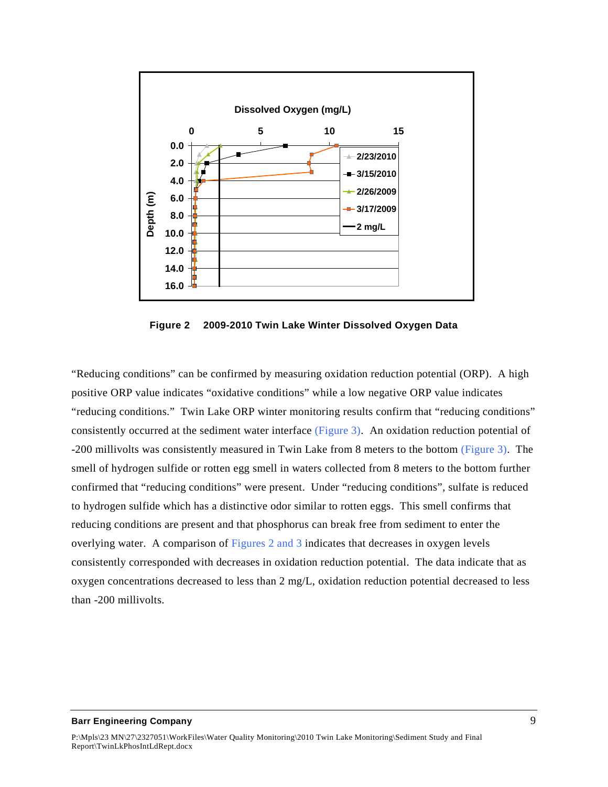

**Figure 2 2009-2010 Twin Lake Winter Dissolved Oxygen Data**

<span id="page-13-0"></span>"Reducing conditions" can be confirmed by measuring oxidation reduction potential (ORP). A high positive ORP value indicates "oxidative conditions" while a low negative ORP value indicates "reducing conditions." Twin Lake ORP winter monitoring results confirm that "reducing conditions" consistently occurred at the sediment water interface (Figure 3). An oxidation reduction potential of -200 millivolts was consistently measured in Twin Lake from 8 meters to the bottom (Figure 3). The smell of hydrogen sulfide or rotten egg smell in waters collected from 8 meters to the bottom further confirmed that "reducing conditions" were present. Under "reducing conditions", sulfate is reduced to hydrogen sulfide which has a distinctive odor similar to rotten eggs. This smell confirms that reducing conditions are present and that phosphorus can break free from sediment to enter the overlying water. A comparison of Figures 2 and 3 indicates that decreases in oxygen levels consistently corresponded with decreases in oxidation reduction potential. The data indicate that as oxygen concentrations decreased to less than 2 mg/L, oxidation reduction potential decreased to less than -200 millivolts.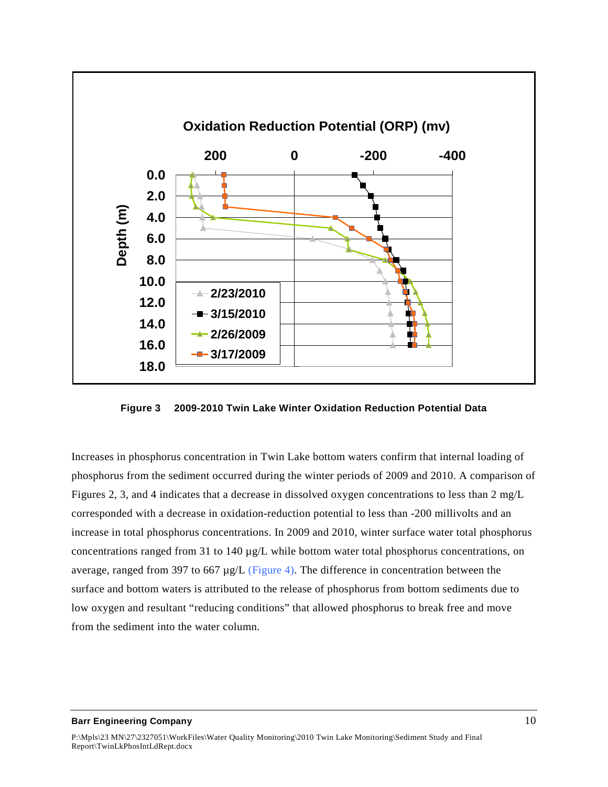

<span id="page-14-0"></span>**Figure 3 2009-2010 Twin Lake Winter Oxidation Reduction Potential Data**

Increases in phosphorus concentration in Twin Lake bottom waters confirm that internal loading of phosphorus from the sediment occurred during the winter periods of 2009 and 2010. A comparison of Figures 2, 3, and 4 indicates that a decrease in dissolved oxygen concentrations to less than 2 mg/L corresponded with a decrease in oxidation-reduction potential to less than -200 millivolts and an increase in total phosphorus concentrations. In 2009 and 2010, winter surface water total phosphorus concentrations ranged from 31 to 140 µg/L while bottom water total phosphorus concentrations, on average, ranged from 397 to 667  $\mu$ g/L (Figure 4). The difference in concentration between the surface and bottom waters is attributed to the release of phosphorus from bottom sediments due to low oxygen and resultant "reducing conditions" that allowed phosphorus to break free and move from the sediment into the water column.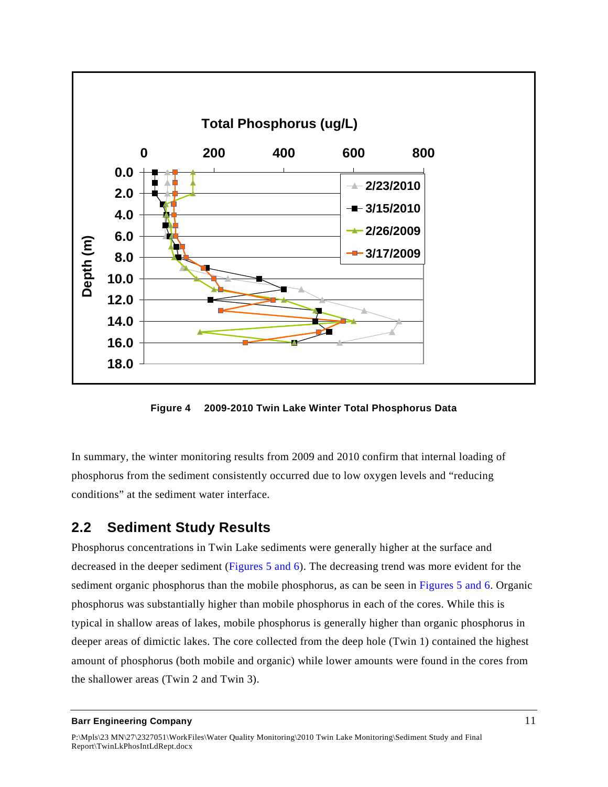

**Figure 4 2009-2010 Twin Lake Winter Total Phosphorus Data**

<span id="page-15-1"></span>In summary, the winter monitoring results from 2009 and 2010 confirm that internal loading of phosphorus from the sediment consistently occurred due to low oxygen levels and "reducing conditions" at the sediment water interface.

### <span id="page-15-0"></span>**2.2 Sediment Study Results**

Phosphorus concentrations in Twin Lake sediments were generally higher at the surface and decreased in the deeper sediment (Figures 5 and 6). The decreasing trend was more evident for the sediment organic phosphorus than the mobile phosphorus, as can be seen in Figures 5 and 6. Organic phosphorus was substantially higher than mobile phosphorus in each of the cores. While this is typical in shallow areas of lakes, mobile phosphorus is generally higher than organic phosphorus in deeper areas of dimictic lakes. The core collected from the deep hole (Twin 1) contained the highest amount of phosphorus (both mobile and organic) while lower amounts were found in the cores from the shallower areas (Twin 2 and Twin 3).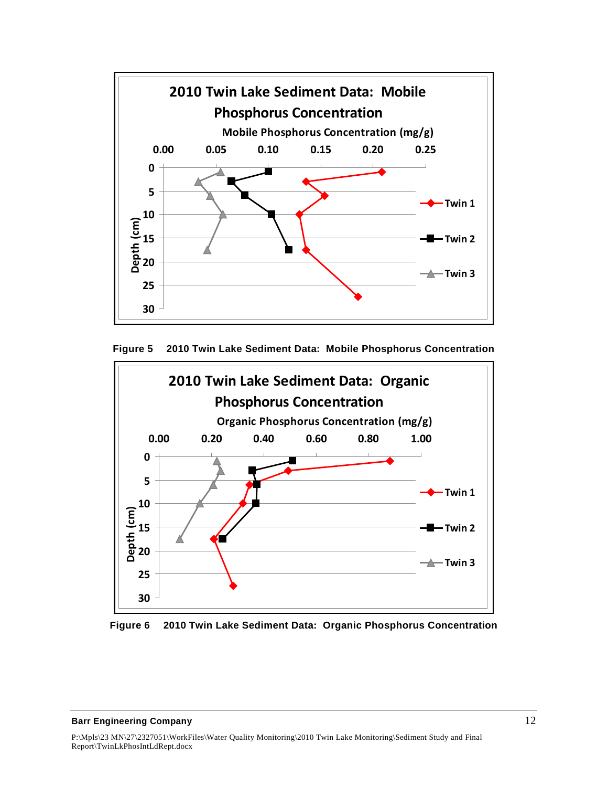



<span id="page-16-0"></span>

<span id="page-16-1"></span>**Figure 6 2010 Twin Lake Sediment Data: Organic Phosphorus Concentration**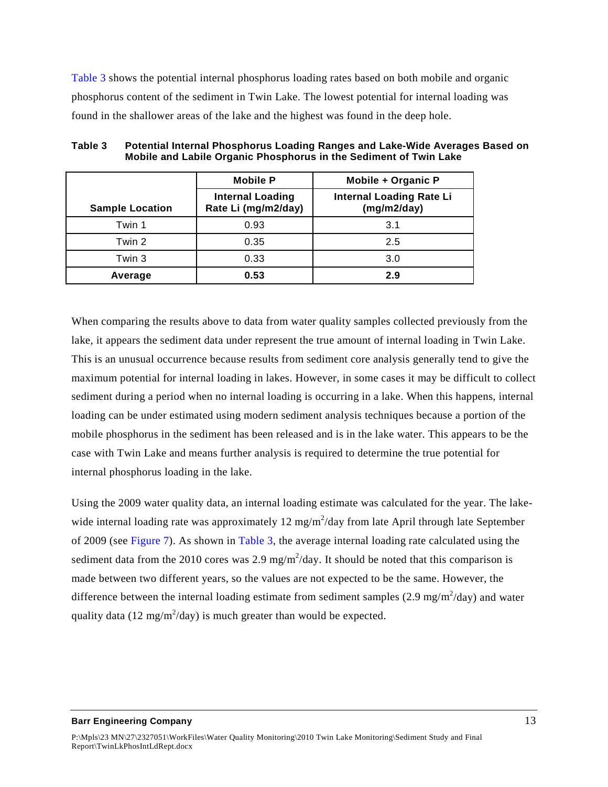Table 3 shows the potential internal phosphorus loading rates based on both mobile and organic phosphorus content of the sediment in Twin Lake. The lowest potential for internal loading was found in the shallower areas of the lake and the highest was found in the deep hole.

|                        | <b>Mobile P</b>                                | Mobile + Organic P                             |
|------------------------|------------------------------------------------|------------------------------------------------|
| <b>Sample Location</b> | <b>Internal Loading</b><br>Rate Li (mg/m2/day) | <b>Internal Loading Rate Li</b><br>(mg/m2/day) |
| Twin 1                 | 0.93                                           | 3.1                                            |
| Twin 2                 | 0.35                                           | 2.5                                            |
| Twin 3                 | 0.33                                           | 3.0                                            |
| Average                | 0.53                                           | 2.9                                            |

<span id="page-17-0"></span>

| Table 3 | <b>Potential Internal Phosphorus Loading Ranges and Lake-Wide Averages Based on</b> |
|---------|-------------------------------------------------------------------------------------|
|         | Mobile and Labile Organic Phosphorus in the Sediment of Twin Lake                   |

When comparing the results above to data from water quality samples collected previously from the lake, it appears the sediment data under represent the true amount of internal loading in Twin Lake. This is an unusual occurrence because results from sediment core analysis generally tend to give the maximum potential for internal loading in lakes. However, in some cases it may be difficult to collect sediment during a period when no internal loading is occurring in a lake. When this happens, internal loading can be under estimated using modern sediment analysis techniques because a portion of the mobile phosphorus in the sediment has been released and is in the lake water. This appears to be the case with Twin Lake and means further analysis is required to determine the true potential for internal phosphorus loading in the lake.

Using the 2009 water quality data, an internal loading estimate was calculated for the year. The lakewide internal loading rate was approximately  $12 \text{ mg/m}^2$ /day from late April through late September of 2009 (see Figure 7). As shown in Table 3, the average internal loading rate calculated using the sediment data from the 2010 cores was 2.9 mg/m<sup>2</sup>/day. It should be noted that this comparison is made between two different years, so the values are not expected to be the same. However, the difference between the internal loading estimate from sediment samples  $(2.9 \text{ mg/m}^2/\text{day})$  and water quality data (12 mg/m<sup>2</sup>/day) is much greater than would be expected.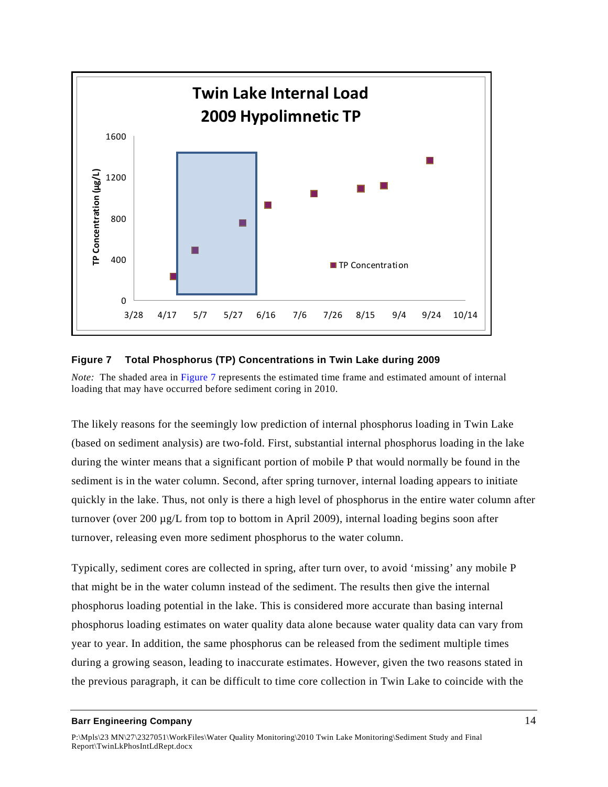

### <span id="page-18-0"></span>**Figure 7 Total Phosphorus (TP) Concentrations in Twin Lake during 2009**

*Note:* The shaded area in Figure 7 represents the estimated time frame and estimated amount of internal loading that may have occurred before sediment coring in 2010.

The likely reasons for the seemingly low prediction of internal phosphorus loading in Twin Lake (based on sediment analysis) are two-fold. First, substantial internal phosphorus loading in the lake during the winter means that a significant portion of mobile P that would normally be found in the sediment is in the water column. Second, after spring turnover, internal loading appears to initiate quickly in the lake. Thus, not only is there a high level of phosphorus in the entire water column after turnover (over 200 µg/L from top to bottom in April 2009), internal loading begins soon after turnover, releasing even more sediment phosphorus to the water column.

Typically, sediment cores are collected in spring, after turn over, to avoid 'missing' any mobile P that might be in the water column instead of the sediment. The results then give the internal phosphorus loading potential in the lake. This is considered more accurate than basing internal phosphorus loading estimates on water quality data alone because water quality data can vary from year to year. In addition, the same phosphorus can be released from the sediment multiple times during a growing season, leading to inaccurate estimates. However, given the two reasons stated in the previous paragraph, it can be difficult to time core collection in Twin Lake to coincide with the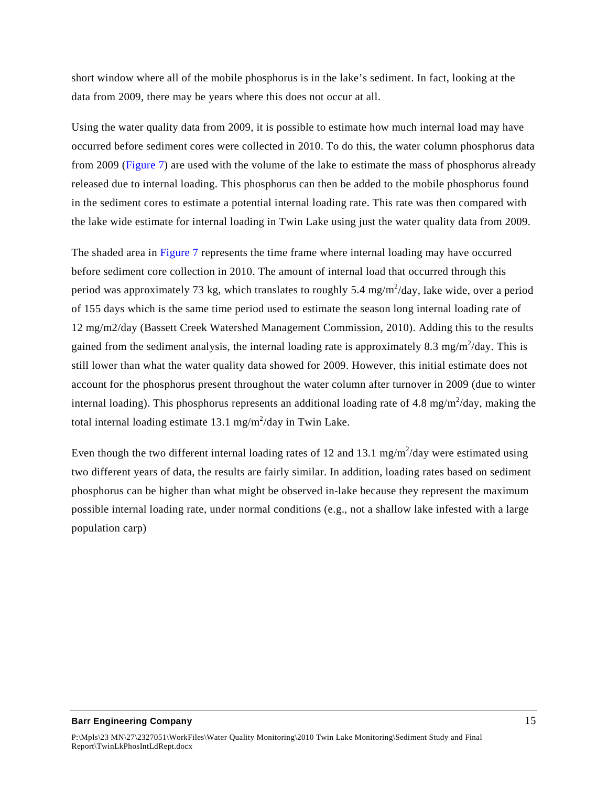short window where all of the mobile phosphorus is in the lake's sediment. In fact, looking at the data from 2009, there may be years where this does not occur at all.

Using the water quality data from 2009, it is possible to estimate how much internal load may have occurred before sediment cores were collected in 2010. To do this, the water column phosphorus data from 2009 (Figure 7) are used with the volume of the lake to estimate the mass of phosphorus already released due to internal loading. This phosphorus can then be added to the mobile phosphorus found in the sediment cores to estimate a potential internal loading rate. This rate was then compared with the lake wide estimate for internal loading in Twin Lake using just the water quality data from 2009.

The shaded area in Figure 7 represents the time frame where internal loading may have occurred before sediment core collection in 2010. The amount of internal load that occurred through this period was approximately 73 kg, which translates to roughly 5.4 mg/m<sup>2</sup>/day, lake wide, over a period of 155 days which is the same time period used to estimate the season long internal loading rate of 12 mg/m2/day (Bassett Creek Watershed Management Commission, 2010). Adding this to the results gained from the sediment analysis, the internal loading rate is approximately 8.3 mg/m<sup>2</sup>/day. This is still lower than what the water quality data showed for 2009. However, this initial estimate does not account for the phosphorus present throughout the water column after turnover in 2009 (due to winter internal loading). This phosphorus represents an additional loading rate of 4.8 mg/m<sup>2</sup>/day, making the total internal loading estimate 13.1 mg/m<sup>2</sup>/day in Twin Lake.

Even though the two different internal loading rates of 12 and 13.1 mg/m<sup>2</sup>/day were estimated using two different years of data, the results are fairly similar. In addition, loading rates based on sediment phosphorus can be higher than what might be observed in-lake because they represent the maximum possible internal loading rate, under normal conditions (e.g., not a shallow lake infested with a large population carp)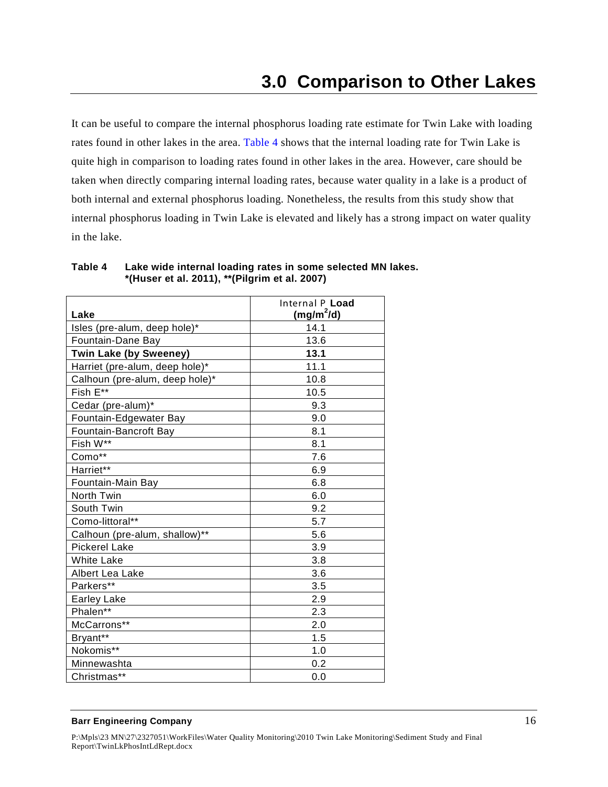<span id="page-20-0"></span>It can be useful to compare the internal phosphorus loading rate estimate for Twin Lake with loading rates found in other lakes in the area. Table 4 shows that the internal loading rate for Twin Lake is quite high in comparison to loading rates found in other lakes in the area. However, care should be taken when directly comparing internal loading rates, because water quality in a lake is a product of both internal and external phosphorus loading. Nonetheless, the results from this study show that internal phosphorus loading in Twin Lake is elevated and likely has a strong impact on water quality in the lake.

| Lake                           | Internal P Load<br>$(mg/m^2/d)$ |
|--------------------------------|---------------------------------|
| Isles (pre-alum, deep hole)*   | 14.1                            |
| Fountain-Dane Bay              | 13.6                            |
| <b>Twin Lake (by Sweeney)</b>  | 13.1                            |
| Harriet (pre-alum, deep hole)* | 11.1                            |
| Calhoun (pre-alum, deep hole)* | 10.8                            |
| Fish E**                       | 10.5                            |
| Cedar (pre-alum)*              | 9.3                             |
| Fountain-Edgewater Bay         | 9.0                             |
| Fountain-Bancroft Bay          | 8.1                             |
| Fish W**                       | 8.1                             |
| Como**                         | 7.6                             |
| Harriet**                      | 6.9                             |
| Fountain-Main Bay              | 6.8                             |
| North Twin                     | 6.0                             |
| South Twin                     | 9.2                             |
| Como-littoral**                | 5.7                             |
| Calhoun (pre-alum, shallow)**  | 5.6                             |
| <b>Pickerel Lake</b>           | 3.9                             |
| <b>White Lake</b>              | 3.8                             |
| Albert Lea Lake                | 3.6                             |
| Parkers**                      | 3.5                             |
| <b>Earley Lake</b>             | 2.9                             |
| Phalen**                       | 2.3                             |
| McCarrons**                    | 2.0                             |
| Bryant**                       | 1.5                             |
| Nokomis**                      | 1.0                             |
| Minnewashta                    | 0.2                             |
| Christmas**                    | 0.0                             |

<span id="page-20-1"></span>**Table 4 Lake wide internal loading rates in some selected MN lakes. \*(Huser et al. 2011), \*\*(Pilgrim et al. 2007)**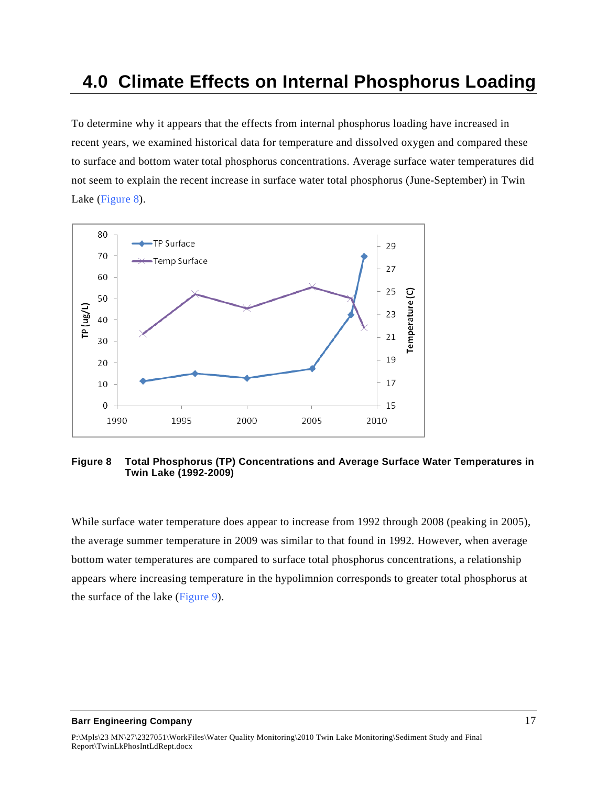# <span id="page-21-0"></span>**4.0 Climate Effects on Internal Phosphorus Loading**

To determine why it appears that the effects from internal phosphorus loading have increased in recent years, we examined historical data for temperature and dissolved oxygen and compared these to surface and bottom water total phosphorus concentrations. Average surface water temperatures did not seem to explain the recent increase in surface water total phosphorus (June-September) in Twin Lake (Figure 8).



<span id="page-21-1"></span>**Figure 8 Total Phosphorus (TP) Concentrations and Average Surface Water Temperatures in Twin Lake (1992-2009)** 

While surface water temperature does appear to increase from 1992 through 2008 (peaking in 2005), the average summer temperature in 2009 was similar to that found in 1992. However, when average bottom water temperatures are compared to surface total phosphorus concentrations, a relationship appears where increasing temperature in the hypolimnion corresponds to greater total phosphorus at the surface of the lake (Figure 9).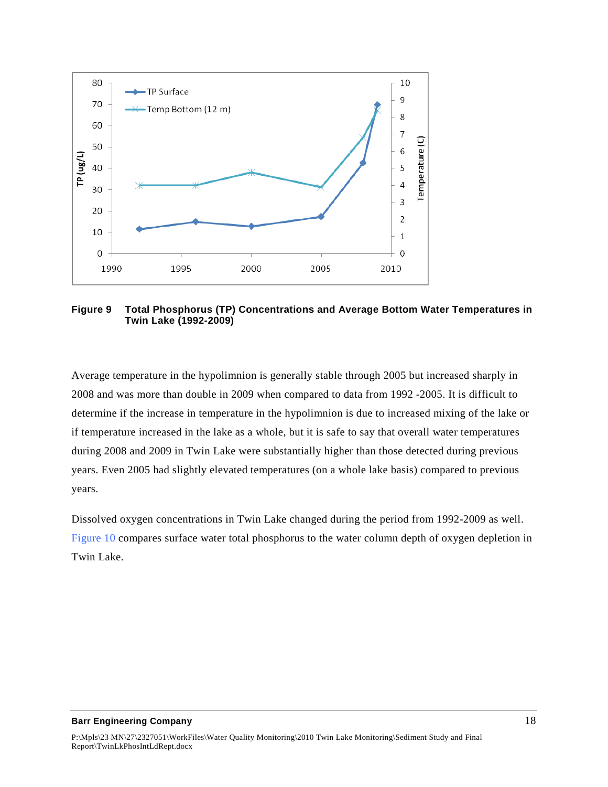

<span id="page-22-0"></span>**Figure 9 Total Phosphorus (TP) Concentrations and Average Bottom Water Temperatures in Twin Lake (1992-2009)** 

Average temperature in the hypolimnion is generally stable through 2005 but increased sharply in 2008 and was more than double in 2009 when compared to data from 1992 -2005. It is difficult to determine if the increase in temperature in the hypolimnion is due to increased mixing of the lake or if temperature increased in the lake as a whole, but it is safe to say that overall water temperatures during 2008 and 2009 in Twin Lake were substantially higher than those detected during previous years. Even 2005 had slightly elevated temperatures (on a whole lake basis) compared to previous years.

Dissolved oxygen concentrations in Twin Lake changed during the period from 1992-2009 as well. Figure 10 compares surface water total phosphorus to the water column depth of oxygen depletion in Twin Lake.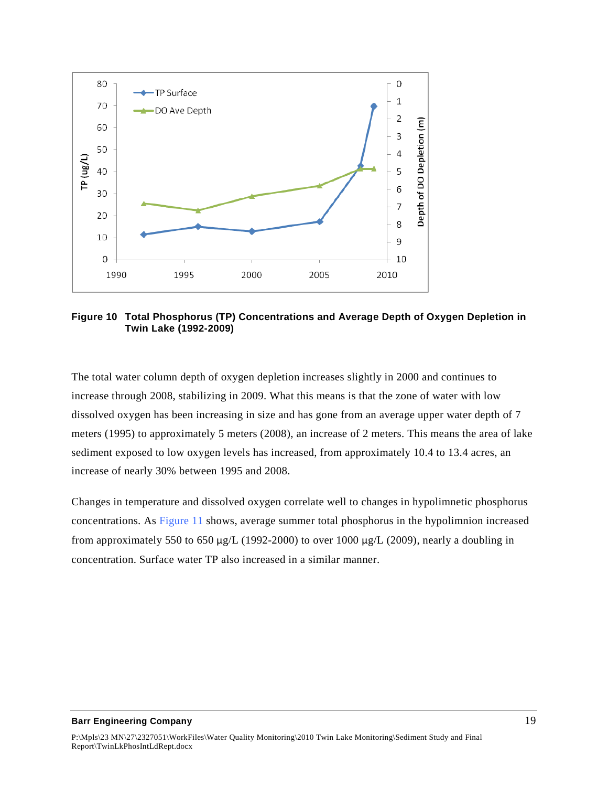

<span id="page-23-0"></span>**Figure 10 Total Phosphorus (TP) Concentrations and Average Depth of Oxygen Depletion in Twin Lake (1992-2009)** 

The total water column depth of oxygen depletion increases slightly in 2000 and continues to increase through 2008, stabilizing in 2009. What this means is that the zone of water with low dissolved oxygen has been increasing in size and has gone from an average upper water depth of 7 meters (1995) to approximately 5 meters (2008), an increase of 2 meters. This means the area of lake sediment exposed to low oxygen levels has increased, from approximately 10.4 to 13.4 acres, an increase of nearly 30% between 1995 and 2008.

Changes in temperature and dissolved oxygen correlate well to changes in hypolimnetic phosphorus concentrations. As Figure 11 shows, average summer total phosphorus in the hypolimnion increased from approximately 550 to 650  $\mu$ g/L (1992-2000) to over 1000  $\mu$ g/L (2009), nearly a doubling in concentration. Surface water TP also increased in a similar manner.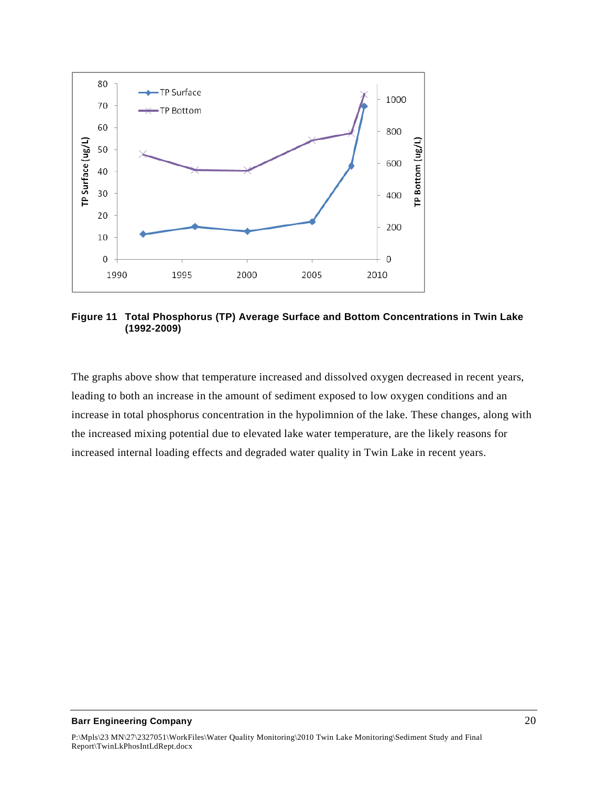

<span id="page-24-0"></span>**Figure 11 Total Phosphorus (TP) Average Surface and Bottom Concentrations in Twin Lake (1992-2009)** 

The graphs above show that temperature increased and dissolved oxygen decreased in recent years, leading to both an increase in the amount of sediment exposed to low oxygen conditions and an increase in total phosphorus concentration in the hypolimnion of the lake. These changes, along with the increased mixing potential due to elevated lake water temperature, are the likely reasons for increased internal loading effects and degraded water quality in Twin Lake in recent years.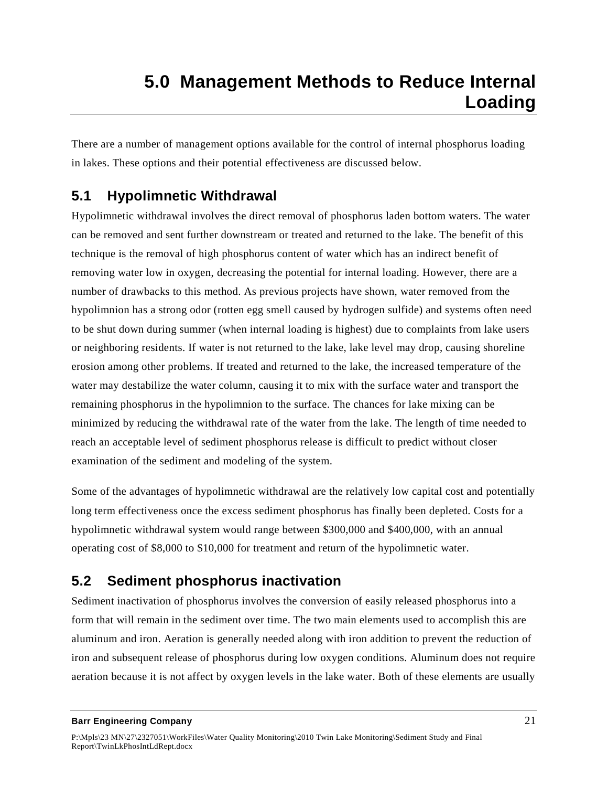<span id="page-25-0"></span>There are a number of management options available for the control of internal phosphorus loading in lakes. These options and their potential effectiveness are discussed below.

## <span id="page-25-1"></span>**5.1 Hypolimnetic Withdrawal**

Hypolimnetic withdrawal involves the direct removal of phosphorus laden bottom waters. The water can be removed and sent further downstream or treated and returned to the lake. The benefit of this technique is the removal of high phosphorus content of water which has an indirect benefit of removing water low in oxygen, decreasing the potential for internal loading. However, there are a number of drawbacks to this method. As previous projects have shown, water removed from the hypolimnion has a strong odor (rotten egg smell caused by hydrogen sulfide) and systems often need to be shut down during summer (when internal loading is highest) due to complaints from lake users or neighboring residents. If water is not returned to the lake, lake level may drop, causing shoreline erosion among other problems. If treated and returned to the lake, the increased temperature of the water may destabilize the water column, causing it to mix with the surface water and transport the remaining phosphorus in the hypolimnion to the surface. The chances for lake mixing can be minimized by reducing the withdrawal rate of the water from the lake. The length of time needed to reach an acceptable level of sediment phosphorus release is difficult to predict without closer examination of the sediment and modeling of the system.

Some of the advantages of hypolimnetic withdrawal are the relatively low capital cost and potentially long term effectiveness once the excess sediment phosphorus has finally been depleted. Costs for a hypolimnetic withdrawal system would range between \$300,000 and \$400,000, with an annual operating cost of \$8,000 to \$10,000 for treatment and return of the hypolimnetic water.

## <span id="page-25-2"></span>**5.2 Sediment phosphorus inactivation**

Sediment inactivation of phosphorus involves the conversion of easily released phosphorus into a form that will remain in the sediment over time. The two main elements used to accomplish this are aluminum and iron. Aeration is generally needed along with iron addition to prevent the reduction of iron and subsequent release of phosphorus during low oxygen conditions. Aluminum does not require aeration because it is not affect by oxygen levels in the lake water. Both of these elements are usually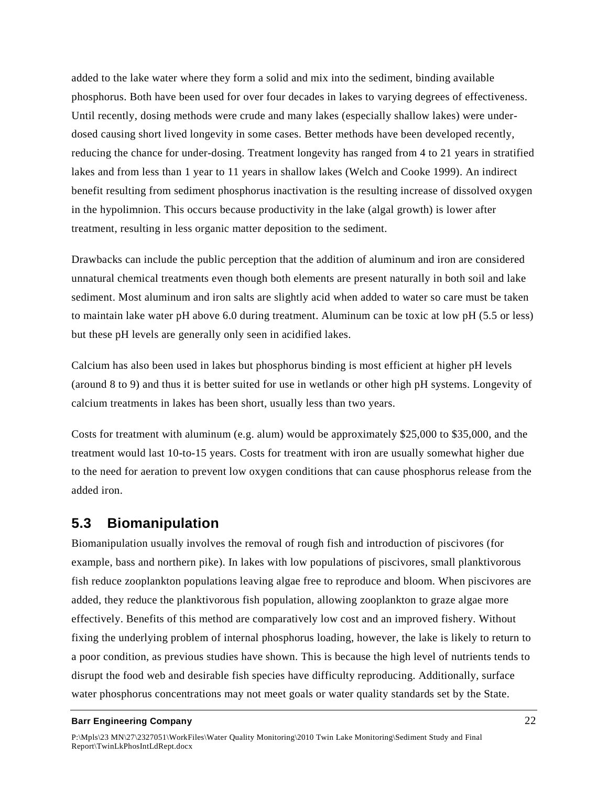added to the lake water where they form a solid and mix into the sediment, binding available phosphorus. Both have been used for over four decades in lakes to varying degrees of effectiveness. Until recently, dosing methods were crude and many lakes (especially shallow lakes) were underdosed causing short lived longevity in some cases. Better methods have been developed recently, reducing the chance for under-dosing. Treatment longevity has ranged from 4 to 21 years in stratified lakes and from less than 1 year to 11 years in shallow lakes (Welch and Cooke 1999). An indirect benefit resulting from sediment phosphorus inactivation is the resulting increase of dissolved oxygen in the hypolimnion. This occurs because productivity in the lake (algal growth) is lower after treatment, resulting in less organic matter deposition to the sediment.

Drawbacks can include the public perception that the addition of aluminum and iron are considered unnatural chemical treatments even though both elements are present naturally in both soil and lake sediment. Most aluminum and iron salts are slightly acid when added to water so care must be taken to maintain lake water pH above 6.0 during treatment. Aluminum can be toxic at low pH (5.5 or less) but these pH levels are generally only seen in acidified lakes.

Calcium has also been used in lakes but phosphorus binding is most efficient at higher pH levels (around 8 to 9) and thus it is better suited for use in wetlands or other high pH systems. Longevity of calcium treatments in lakes has been short, usually less than two years.

Costs for treatment with aluminum (e.g. alum) would be approximately \$25,000 to \$35,000, and the treatment would last 10-to-15 years. Costs for treatment with iron are usually somewhat higher due to the need for aeration to prevent low oxygen conditions that can cause phosphorus release from the added iron.

### <span id="page-26-0"></span>**5.3 Biomanipulation**

Biomanipulation usually involves the removal of rough fish and introduction of piscivores (for example, bass and northern pike). In lakes with low populations of piscivores, small planktivorous fish reduce zooplankton populations leaving algae free to reproduce and bloom. When piscivores are added, they reduce the planktivorous fish population, allowing zooplankton to graze algae more effectively. Benefits of this method are comparatively low cost and an improved fishery. Without fixing the underlying problem of internal phosphorus loading, however, the lake is likely to return to a poor condition, as previous studies have shown. This is because the high level of nutrients tends to disrupt the food web and desirable fish species have difficulty reproducing. Additionally, surface water phosphorus concentrations may not meet goals or water quality standards set by the State.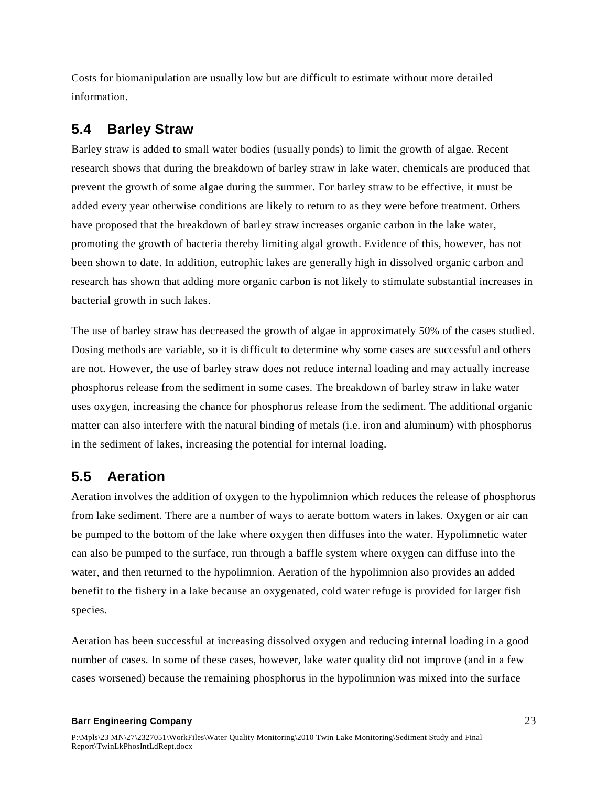Costs for biomanipulation are usually low but are difficult to estimate without more detailed information.

## <span id="page-27-0"></span>**5.4 Barley Straw**

Barley straw is added to small water bodies (usually ponds) to limit the growth of algae. Recent research shows that during the breakdown of barley straw in lake water, chemicals are produced that prevent the growth of some algae during the summer. For barley straw to be effective, it must be added every year otherwise conditions are likely to return to as they were before treatment. Others have proposed that the breakdown of barley straw increases organic carbon in the lake water, promoting the growth of bacteria thereby limiting algal growth. Evidence of this, however, has not been shown to date. In addition, eutrophic lakes are generally high in dissolved organic carbon and research has shown that adding more organic carbon is not likely to stimulate substantial increases in bacterial growth in such lakes.

The use of barley straw has decreased the growth of algae in approximately 50% of the cases studied. Dosing methods are variable, so it is difficult to determine why some cases are successful and others are not. However, the use of barley straw does not reduce internal loading and may actually increase phosphorus release from the sediment in some cases. The breakdown of barley straw in lake water uses oxygen, increasing the chance for phosphorus release from the sediment. The additional organic matter can also interfere with the natural binding of metals (i.e. iron and aluminum) with phosphorus in the sediment of lakes, increasing the potential for internal loading.

## <span id="page-27-1"></span>**5.5 Aeration**

Aeration involves the addition of oxygen to the hypolimnion which reduces the release of phosphorus from lake sediment. There are a number of ways to aerate bottom waters in lakes. Oxygen or air can be pumped to the bottom of the lake where oxygen then diffuses into the water. Hypolimnetic water can also be pumped to the surface, run through a baffle system where oxygen can diffuse into the water, and then returned to the hypolimnion. Aeration of the hypolimnion also provides an added benefit to the fishery in a lake because an oxygenated, cold water refuge is provided for larger fish species.

Aeration has been successful at increasing dissolved oxygen and reducing internal loading in a good number of cases. In some of these cases, however, lake water quality did not improve (and in a few cases worsened) because the remaining phosphorus in the hypolimnion was mixed into the surface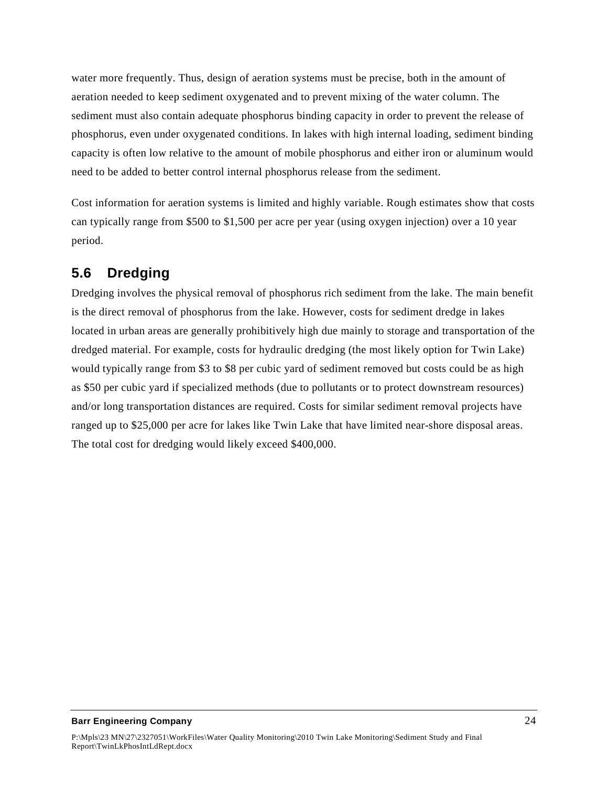water more frequently. Thus, design of aeration systems must be precise, both in the amount of aeration needed to keep sediment oxygenated and to prevent mixing of the water column. The sediment must also contain adequate phosphorus binding capacity in order to prevent the release of phosphorus, even under oxygenated conditions. In lakes with high internal loading, sediment binding capacity is often low relative to the amount of mobile phosphorus and either iron or aluminum would need to be added to better control internal phosphorus release from the sediment.

Cost information for aeration systems is limited and highly variable. Rough estimates show that costs can typically range from \$500 to \$1,500 per acre per year (using oxygen injection) over a 10 year period.

## <span id="page-28-0"></span>**5.6 Dredging**

Dredging involves the physical removal of phosphorus rich sediment from the lake. The main benefit is the direct removal of phosphorus from the lake. However, costs for sediment dredge in lakes located in urban areas are generally prohibitively high due mainly to storage and transportation of the dredged material. For example, costs for hydraulic dredging (the most likely option for Twin Lake) would typically range from \$3 to \$8 per cubic yard of sediment removed but costs could be as high as \$50 per cubic yard if specialized methods (due to pollutants or to protect downstream resources) and/or long transportation distances are required. Costs for similar sediment removal projects have ranged up to \$25,000 per acre for lakes like Twin Lake that have limited near-shore disposal areas. The total cost for dredging would likely exceed \$400,000.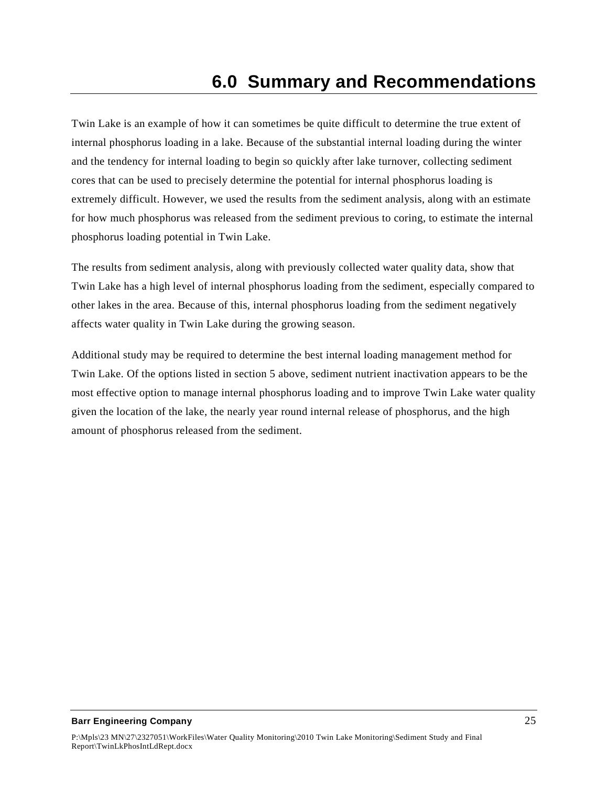<span id="page-29-0"></span>Twin Lake is an example of how it can sometimes be quite difficult to determine the true extent of internal phosphorus loading in a lake. Because of the substantial internal loading during the winter and the tendency for internal loading to begin so quickly after lake turnover, collecting sediment cores that can be used to precisely determine the potential for internal phosphorus loading is extremely difficult. However, we used the results from the sediment analysis, along with an estimate for how much phosphorus was released from the sediment previous to coring, to estimate the internal phosphorus loading potential in Twin Lake.

The results from sediment analysis, along with previously collected water quality data, show that Twin Lake has a high level of internal phosphorus loading from the sediment, especially compared to other lakes in the area. Because of this, internal phosphorus loading from the sediment negatively affects water quality in Twin Lake during the growing season.

Additional study may be required to determine the best internal loading management method for Twin Lake. Of the options listed in section 5 above, sediment nutrient inactivation appears to be the most effective option to manage internal phosphorus loading and to improve Twin Lake water quality given the location of the lake, the nearly year round internal release of phosphorus, and the high amount of phosphorus released from the sediment.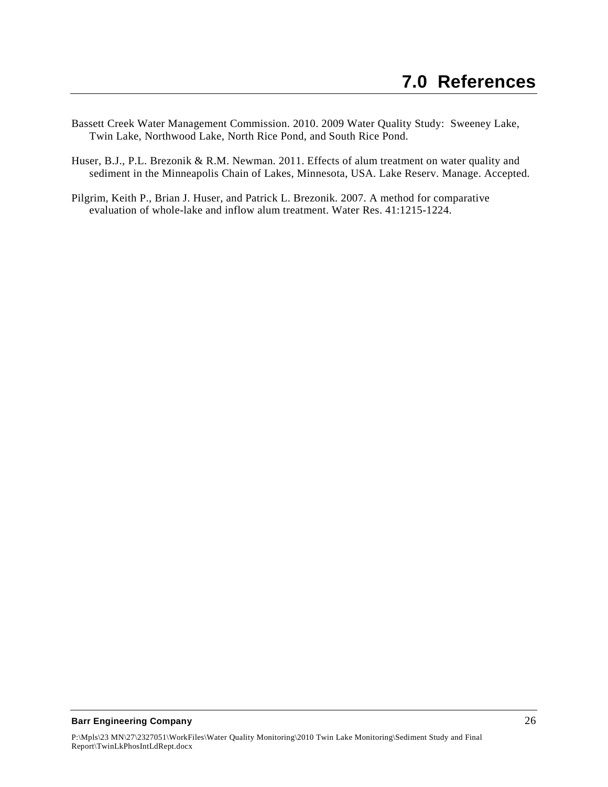- <span id="page-30-0"></span>Bassett Creek Water Management Commission. 2010. 2009 Water Quality Study: Sweeney Lake, Twin Lake, Northwood Lake, North Rice Pond, and South Rice Pond.
- Huser, B.J., P.L. Brezonik & R.M. Newman. 2011. Effects of alum treatment on water quality and sediment in the Minneapolis Chain of Lakes, Minnesota, USA. Lake Reserv. Manage. Accepted.
- Pilgrim, Keith P., Brian J. Huser, and Patrick L. Brezonik. 2007. A method for comparative evaluation of whole-lake and inflow alum treatment. Water Res. 41:1215-1224.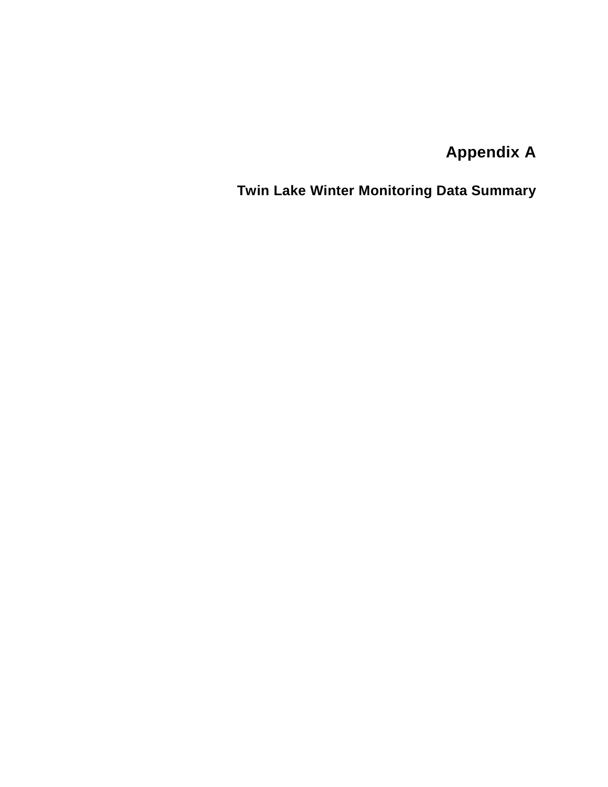**Appendix A**

<span id="page-31-0"></span>**Twin Lake Winter Monitoring Data Summary**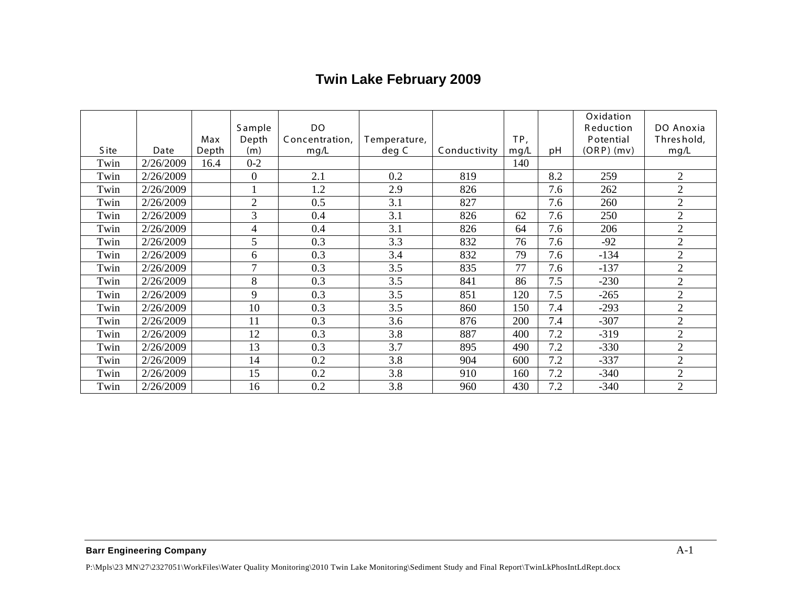# **Twin Lake February 2009**

|             |           |       |                  |                |              |              |      |                  | Oxidation |                |
|-------------|-----------|-------|------------------|----------------|--------------|--------------|------|------------------|-----------|----------------|
|             | Sample    |       | <b>DO</b>        |                |              |              |      | <b>Reduction</b> | DO Anoxia |                |
|             |           | Max   | Depth            | Concentration, | Temperature, |              | TP,  |                  | Potential | Threshold,     |
| <b>Site</b> | Date      | Depth | (m)              | mg/L           | deg C        | Conductivity | mg/L | рH               | (ORP)(mv) | mg/L           |
| Twin        | 2/26/2009 | 16.4  | $0 - 2$          |                |              |              | 140  |                  |           |                |
| Twin        | 2/26/2009 |       | $\boldsymbol{0}$ | 2.1            | 0.2          | 819          |      | 8.2              | 259       | $\overline{2}$ |
| Twin        | 2/26/2009 |       | $\mathbf{1}$     | 1.2            | 2.9          | 826          |      | 7.6              | 262       | $\overline{2}$ |
| Twin        | 2/26/2009 |       | $\overline{2}$   | 0.5            | 3.1          | 827          |      | 7.6              | 260       | $\overline{2}$ |
| Twin        | 2/26/2009 |       | $\overline{3}$   | 0.4            | 3.1          | 826          | 62   | 7.6              | 250       | $\overline{2}$ |
| Twin        | 2/26/2009 |       | $\overline{4}$   | 0.4            | 3.1          | 826          | 64   | 7.6              | 206       | $\overline{2}$ |
| Twin        | 2/26/2009 |       | 5                | 0.3            | 3.3          | 832          | 76   | 7.6              | $-92$     | $\overline{2}$ |
| Twin        | 2/26/2009 |       | 6                | 0.3            | 3.4          | 832          | 79   | 7.6              | $-134$    | $\overline{2}$ |
| Twin        | 2/26/2009 |       | $\overline{7}$   | 0.3            | 3.5          | 835          | 77   | 7.6              | $-137$    | $\overline{2}$ |
| Twin        | 2/26/2009 |       | 8                | 0.3            | 3.5          | 841          | 86   | 7.5              | $-230$    | $\overline{2}$ |
| Twin        | 2/26/2009 |       | 9                | 0.3            | 3.5          | 851          | 120  | 7.5              | $-265$    | $\overline{2}$ |
| Twin        | 2/26/2009 |       | 10               | 0.3            | 3.5          | 860          | 150  | 7.4              | $-293$    | $\overline{2}$ |
| Twin        | 2/26/2009 |       | 11               | 0.3            | 3.6          | 876          | 200  | 7.4              | $-307$    | $\overline{2}$ |
| Twin        | 2/26/2009 |       | 12               | 0.3            | 3.8          | 887          | 400  | 7.2              | $-319$    | $\overline{2}$ |
| Twin        | 2/26/2009 |       | 13               | 0.3            | 3.7          | 895          | 490  | 7.2              | $-330$    | $\overline{2}$ |
| Twin        | 2/26/2009 |       | 14               | 0.2            | 3.8          | 904          | 600  | 7.2              | $-337$    | $\overline{2}$ |
| Twin        | 2/26/2009 |       | 15               | 0.2            | 3.8          | 910          | 160  | 7.2              | $-340$    | $\overline{2}$ |
| Twin        | 2/26/2009 |       | 16               | 0.2            | 3.8          | 960          | 430  | 7.2              | $-340$    | $\overline{2}$ |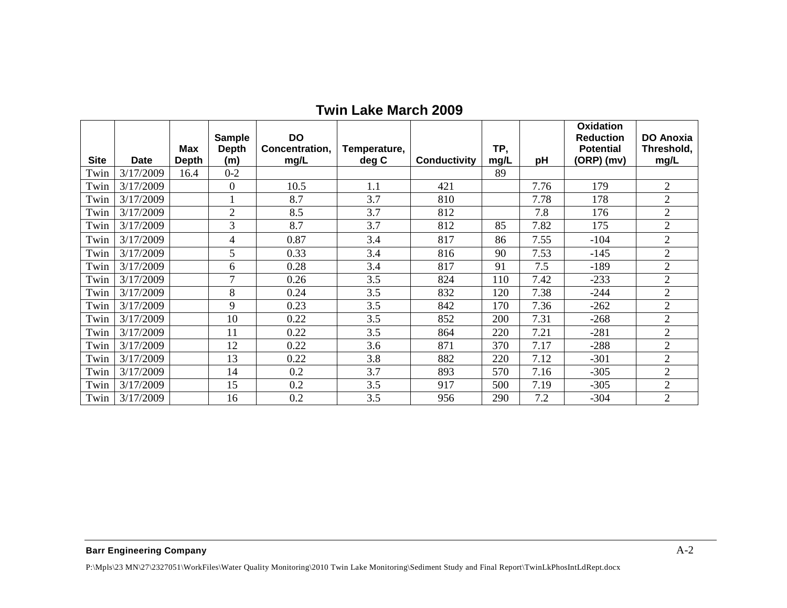|             |           |                     | <b>Sample</b>       | <b>DO</b>              |                       |                     |             |      | Oxidation<br><b>Reduction</b> | <b>DO Anoxia</b>   |
|-------------|-----------|---------------------|---------------------|------------------------|-----------------------|---------------------|-------------|------|-------------------------------|--------------------|
| <b>Site</b> | Date      | <b>Max</b><br>Depth | <b>Depth</b><br>(m) | Concentration,<br>mg/L | Temperature,<br>deg C | <b>Conductivity</b> | TP,<br>mg/L | рH   | <b>Potential</b><br>(ORP)(mv) | Threshold,<br>mg/L |
| Twin        | 3/17/2009 | 16.4                | $0 - 2$             |                        |                       |                     | 89          |      |                               |                    |
| Twin        | 3/17/2009 |                     | $\mathbf{0}$        | 10.5                   | 1.1                   | 421                 |             | 7.76 | 179                           | 2                  |
| Twin        | 3/17/2009 |                     |                     | 8.7                    | 3.7                   | 810                 |             | 7.78 | 178                           | $\overline{2}$     |
| Twin        | 3/17/2009 |                     | $\overline{2}$      | 8.5                    | 3.7                   | 812                 |             | 7.8  | 176                           | $\overline{2}$     |
| Twin        | 3/17/2009 |                     | 3                   | 8.7                    | 3.7                   | 812                 | 85          | 7.82 | 175                           | $\overline{2}$     |
| Twin        | 3/17/2009 |                     | $\overline{4}$      | 0.87                   | 3.4                   | 817                 | 86          | 7.55 | $-104$                        | $\overline{2}$     |
| Twin        | 3/17/2009 |                     | 5                   | 0.33                   | 3.4                   | 816                 | 90          | 7.53 | $-145$                        | $\overline{2}$     |
| Twin        | 3/17/2009 |                     | 6                   | 0.28                   | 3.4                   | 817                 | 91          | 7.5  | $-189$                        | $\overline{2}$     |
| Twin        | 3/17/2009 |                     | $\tau$              | 0.26                   | 3.5                   | 824                 | 110         | 7.42 | $-233$                        | $\overline{2}$     |
| Twin        | 3/17/2009 |                     | 8                   | 0.24                   | 3.5                   | 832                 | 120         | 7.38 | $-244$                        | $\overline{2}$     |
| Twin        | 3/17/2009 |                     | 9                   | 0.23                   | 3.5                   | 842                 | 170         | 7.36 | $-262$                        | $\overline{2}$     |
| Twin        | 3/17/2009 |                     | 10                  | 0.22                   | 3.5                   | 852                 | 200         | 7.31 | $-268$                        | $\overline{2}$     |
| Twin        | 3/17/2009 |                     | 11                  | 0.22                   | 3.5                   | 864                 | 220         | 7.21 | $-281$                        | $\overline{2}$     |
| Twin        | 3/17/2009 |                     | 12                  | 0.22                   | 3.6                   | 871                 | 370         | 7.17 | $-288$                        | $\overline{2}$     |
| Twin        | 3/17/2009 |                     | 13                  | 0.22                   | 3.8                   | 882                 | 220         | 7.12 | $-301$                        | $\overline{2}$     |
| Twin        | 3/17/2009 |                     | 14                  | 0.2                    | 3.7                   | 893                 | 570         | 7.16 | $-305$                        | $\overline{2}$     |
| Twin        | 3/17/2009 |                     | 15                  | 0.2                    | 3.5                   | 917                 | 500         | 7.19 | $-305$                        | $\overline{2}$     |
| Twin        | 3/17/2009 |                     | 16                  | 0.2                    | 3.5                   | 956                 | 290         | 7.2  | $-304$                        | $\overline{2}$     |

## **Twin Lake March 2009**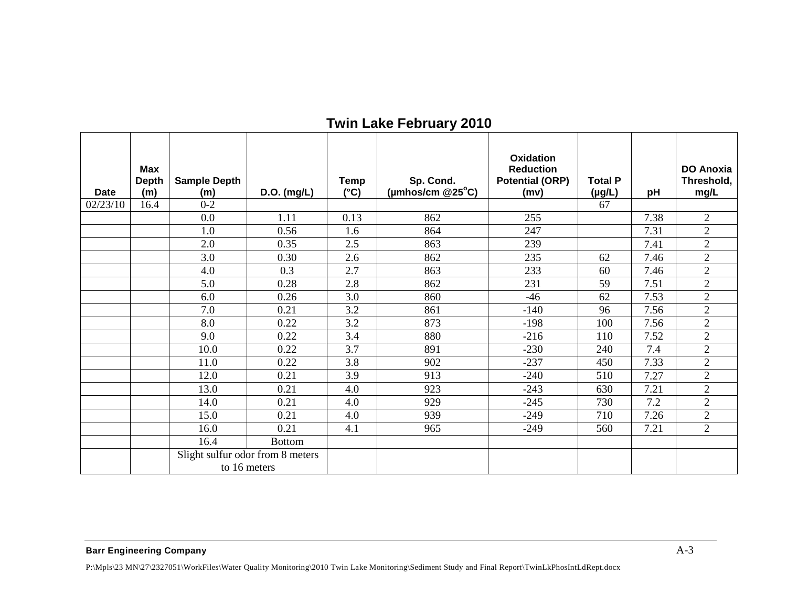| <b>Twin Lake February 2010</b> |
|--------------------------------|
|--------------------------------|

| Date     | <b>Max</b><br><b>Depth</b><br>(m) | <b>Sample Depth</b><br>(m) | D.O. (mg/L)                      | <b>Temp</b><br>$(^{\circ}C)$ | Sp. Cond.<br>(µmhos/cm $@25^{\circ}C$ ) | Oxidation<br><b>Reduction</b><br><b>Potential (ORP)</b><br>(mv) | <b>Total P</b><br>$(\mu g/L)$ | pH   | <b>DO Anoxia</b><br>Threshold,<br>mg/L |
|----------|-----------------------------------|----------------------------|----------------------------------|------------------------------|-----------------------------------------|-----------------------------------------------------------------|-------------------------------|------|----------------------------------------|
| 02/23/10 | 16.4                              | $0 - 2$                    |                                  |                              |                                         |                                                                 | 67                            |      |                                        |
|          |                                   | 0.0                        | 1.11                             | 0.13                         | 862                                     | 255                                                             |                               | 7.38 | $\overline{2}$                         |
|          |                                   | 1.0                        | 0.56                             | 1.6                          | 864                                     | 247                                                             |                               | 7.31 | $\overline{2}$                         |
|          |                                   | 2.0                        | 0.35                             | 2.5                          | 863                                     | 239                                                             |                               | 7.41 | $\overline{2}$                         |
|          |                                   | 3.0                        | 0.30                             | 2.6                          | 862                                     | 235                                                             | 62                            | 7.46 | $\overline{2}$                         |
|          |                                   | 4.0                        | 0.3                              | 2.7                          | 863                                     | 233                                                             | 60                            | 7.46 | $\overline{2}$                         |
|          |                                   | 5.0                        | 0.28                             | 2.8                          | 862                                     | 231                                                             | 59                            | 7.51 | $\overline{2}$                         |
|          |                                   | 6.0                        | 0.26                             | 3.0                          | 860                                     | $-46$                                                           | 62                            | 7.53 | $\overline{2}$                         |
|          |                                   | 7.0                        | 0.21                             | 3.2                          | 861                                     | $-140$                                                          | 96                            | 7.56 | $\overline{2}$                         |
|          |                                   | 8.0                        | 0.22                             | 3.2                          | 873                                     | $-198$                                                          | 100                           | 7.56 | $\overline{2}$                         |
|          |                                   | 9.0                        | 0.22                             | 3.4                          | 880                                     | $-216$                                                          | 110                           | 7.52 | $\overline{2}$                         |
|          |                                   | 10.0                       | 0.22                             | 3.7                          | 891                                     | $-230$                                                          | 240                           | 7.4  | $\overline{2}$                         |
|          |                                   | 11.0                       | 0.22                             | 3.8                          | 902                                     | $-237$                                                          | 450                           | 7.33 | $\overline{2}$                         |
|          |                                   | 12.0                       | 0.21                             | 3.9                          | 913                                     | $-240$                                                          | 510                           | 7.27 | $\overline{2}$                         |
|          |                                   | 13.0                       | 0.21                             | 4.0                          | 923                                     | $-243$                                                          | 630                           | 7.21 | $\overline{2}$                         |
|          |                                   | 14.0                       | 0.21                             | 4.0                          | 929                                     | $-245$                                                          | 730                           | 7.2  | $\overline{2}$                         |
|          |                                   | 15.0                       | 0.21                             | 4.0                          | 939                                     | $-249$                                                          | 710                           | 7.26 | $\overline{2}$                         |
|          |                                   | 16.0                       | 0.21                             | 4.1                          | 965                                     | $-249$                                                          | 560                           | 7.21 | $\overline{2}$                         |
|          |                                   | 16.4                       | <b>Bottom</b>                    |                              |                                         |                                                                 |                               |      |                                        |
|          |                                   |                            | Slight sulfur odor from 8 meters |                              |                                         |                                                                 |                               |      |                                        |
|          |                                   |                            | to 16 meters                     |                              |                                         |                                                                 |                               |      |                                        |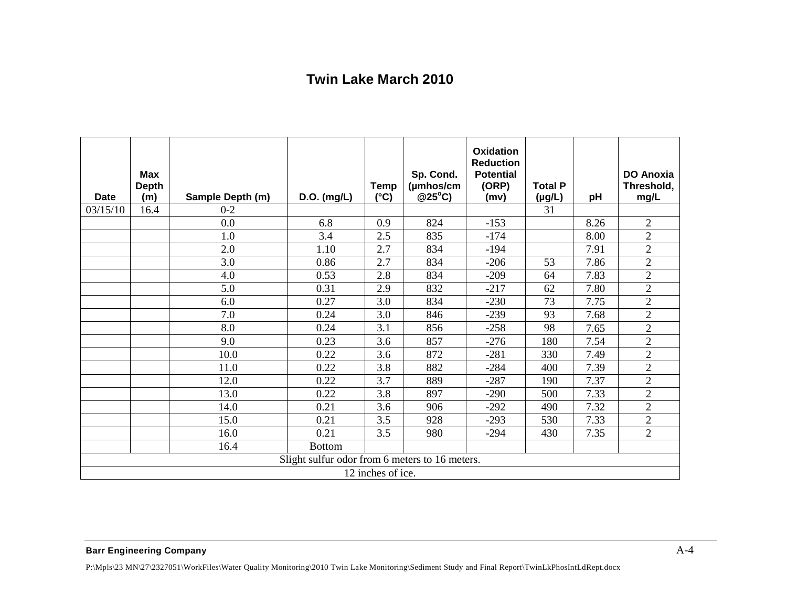## **Twin Lake March 2010**

| <b>Date</b>                                    | <b>Max</b><br><b>Depth</b> |                             |               | Temp          | Sp. Cond.<br>(µmhos/cm<br>@25°C) | <b>Oxidation</b><br><b>Reduction</b><br><b>Potential</b><br>(ORP) | <b>Total P</b> |      | <b>DO Anoxia</b><br>Threshold, |
|------------------------------------------------|----------------------------|-----------------------------|---------------|---------------|----------------------------------|-------------------------------------------------------------------|----------------|------|--------------------------------|
| 03/15/10                                       | (m)<br>16.4                | Sample Depth (m)<br>$0 - 2$ | $D.O.$ (mg/L) | $(^{\circ}C)$ |                                  | (mv)                                                              | (µg/L)<br>31   | pH   | mg/L                           |
|                                                |                            | 0.0                         | 6.8           | 0.9           | 824                              | $-153$                                                            |                | 8.26 | $\overline{2}$                 |
|                                                |                            |                             |               |               |                                  |                                                                   |                |      |                                |
|                                                |                            | 1.0                         | 3.4           | 2.5           | 835                              | $-174$                                                            |                | 8.00 | $\overline{2}$                 |
|                                                |                            | 2.0                         | 1.10          | 2.7           | 834                              | $-194$                                                            |                | 7.91 | $\overline{2}$                 |
|                                                |                            | 3.0                         | 0.86          | 2.7           | 834                              | $-206$                                                            | 53             | 7.86 | $\overline{2}$                 |
|                                                |                            | 4.0                         | 0.53          | 2.8           | 834                              | $-209$                                                            | 64             | 7.83 | $\overline{2}$                 |
|                                                |                            | 5.0                         | 0.31          | 2.9           | 832                              | $-217$                                                            | 62             | 7.80 | $\overline{2}$                 |
|                                                |                            | 6.0                         | 0.27          | 3.0           | 834                              | $-230$                                                            | 73             | 7.75 | $\overline{2}$                 |
|                                                |                            | 7.0                         | 0.24          | 3.0           | 846                              | $-239$                                                            | 93             | 7.68 | $\overline{2}$                 |
|                                                |                            | 8.0                         | 0.24          | 3.1           | 856                              | $-258$                                                            | 98             | 7.65 | $\overline{2}$                 |
|                                                |                            | 9.0                         | 0.23          | 3.6           | 857                              | $-276$                                                            | 180            | 7.54 | $\overline{2}$                 |
|                                                |                            | 10.0                        | 0.22          | 3.6           | 872                              | $-281$                                                            | 330            | 7.49 | $\overline{2}$                 |
|                                                |                            | 11.0                        | 0.22          | 3.8           | 882                              | $-284$                                                            | 400            | 7.39 | $\overline{2}$                 |
|                                                |                            | 12.0                        | 0.22          | 3.7           | 889                              | $-287$                                                            | 190            | 7.37 | $\overline{2}$                 |
|                                                |                            | 13.0                        | 0.22          | 3.8           | 897                              | $-290$                                                            | 500            | 7.33 | $\overline{2}$                 |
|                                                |                            | 14.0                        | 0.21          | 3.6           | 906                              | $-292$                                                            | 490            | 7.32 | $\overline{2}$                 |
|                                                |                            | 15.0                        | 0.21          | 3.5           | 928                              | $-293$                                                            | 530            | 7.33 | $\overline{2}$                 |
|                                                |                            | 16.0                        | 0.21          | 3.5           | 980                              | $-294$                                                            | 430            | 7.35 | $\overline{2}$                 |
|                                                |                            | 16.4                        | <b>Bottom</b> |               |                                  |                                                                   |                |      |                                |
| Slight sulfur odor from 6 meters to 16 meters. |                            |                             |               |               |                                  |                                                                   |                |      |                                |
| 12 inches of ice.                              |                            |                             |               |               |                                  |                                                                   |                |      |                                |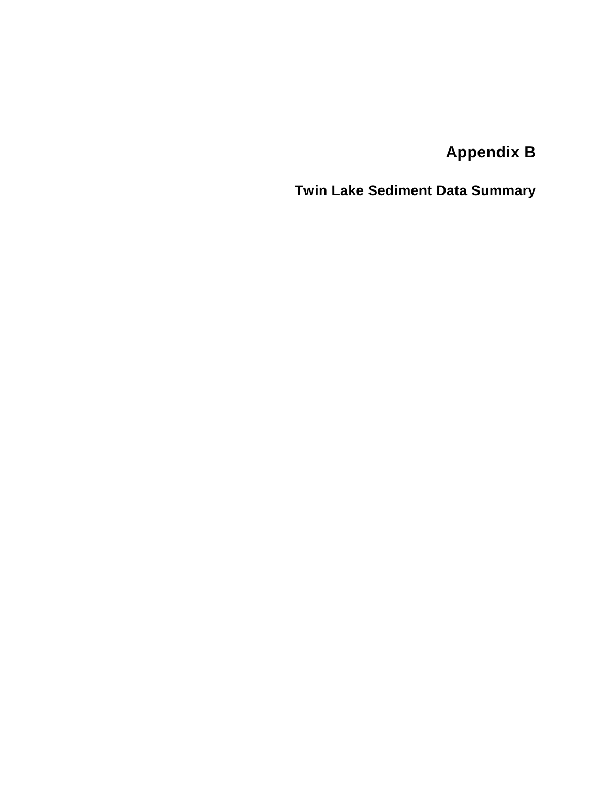**Appendix B**

<span id="page-36-0"></span>**Twin Lake Sediment Data Summary**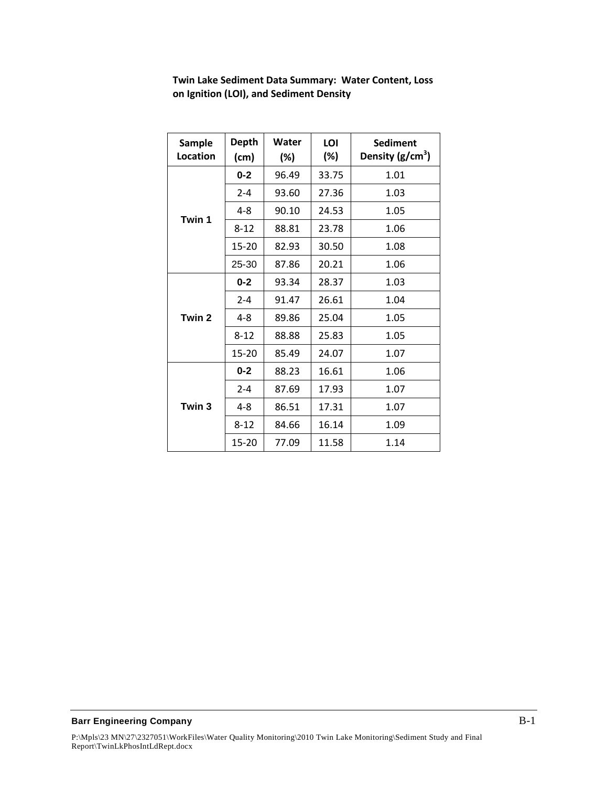| <b>Sample</b><br>Location | <b>Depth</b><br>(cm) | Water<br>(%) | LOI<br>$(\%)$ | <b>Sediment</b><br>Density $(g/cm^3)$ |
|---------------------------|----------------------|--------------|---------------|---------------------------------------|
|                           | $0 - 2$              | 96.49        | 33.75         | 1.01                                  |
|                           | $2 - 4$              | 93.60        | 27.36         | 1.03                                  |
| Twin 1                    | $4 - 8$              | 90.10        | 24.53         | 1.05                                  |
|                           | $8 - 12$             | 88.81        | 23.78         | 1.06                                  |
|                           | 15-20                | 82.93        | 30.50         | 1.08                                  |
|                           | 25-30                | 87.86        | 20.21         | 1.06                                  |
|                           | $0 - 2$              | 93.34        | 28.37         | 1.03                                  |
|                           | $2 - 4$              | 91.47        | 26.61         | 1.04                                  |
| Twin 2                    | $4 - 8$              | 89.86        | 25.04         | 1.05                                  |
|                           | $8 - 12$             | 88.88        | 25.83         | 1.05                                  |
|                           | $15 - 20$            | 85.49        | 24.07         | 1.07                                  |
|                           | $0 - 2$              | 88.23        | 16.61         | 1.06                                  |
|                           | $2 - 4$              | 87.69        | 17.93         | 1.07                                  |
| Twin 3                    | $4 - 8$              | 86.51        | 17.31         | 1.07                                  |
|                           | $8 - 12$             | 84.66        | 16.14         | 1.09                                  |
|                           | 15-20                | 77.09        | 11.58         | 1.14                                  |

**Twin Lake Sediment Data Summary: Water Content, Loss on Ignition (LOI), and Sediment Density**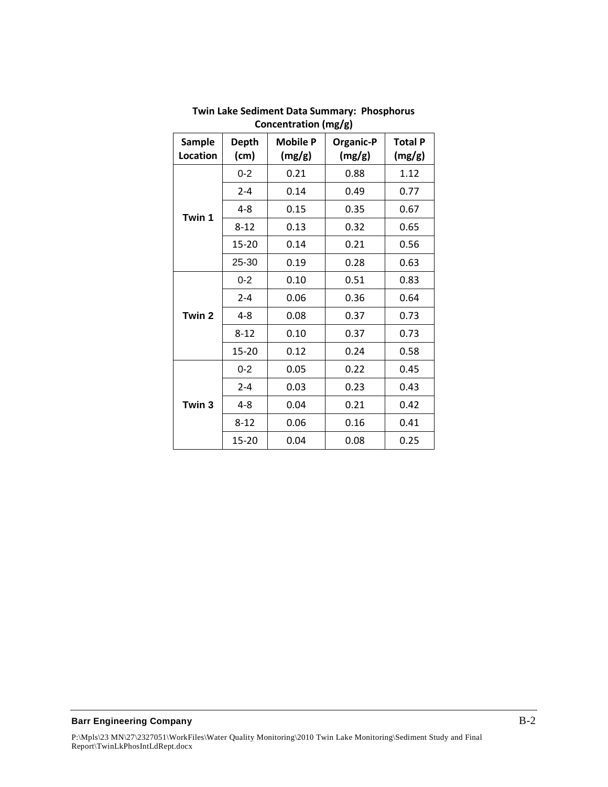| <b>Sample</b><br>Location | <b>Depth</b><br>(cm) | <b>Mobile P</b><br>(mg/g) | <b>Organic-P</b><br>(mg/g) | <b>Total P</b><br>(mg/g) |
|---------------------------|----------------------|---------------------------|----------------------------|--------------------------|
|                           | $0 - 2$              | 0.21                      | 0.88                       | 1.12                     |
|                           | $2 - 4$              | 0.14                      | 0.49                       | 0.77                     |
| Twin 1                    | 4-8                  | 0.15                      | 0.35                       | 0.67                     |
|                           | $8 - 12$             | 0.13                      | 0.32                       | 0.65                     |
|                           | $15 - 20$            | 0.14                      | 0.21                       | 0.56                     |
|                           | 25-30                | 0.19                      | 0.28                       | 0.63                     |
|                           | $0 - 2$              | 0.10                      | 0.51                       | 0.83                     |
|                           | $2 - 4$              | 0.06                      | 0.36                       | 0.64                     |
| Twin 2                    | $4 - 8$              | 0.08                      | 0.37                       | 0.73                     |
|                           | $8 - 12$             | 0.10                      | 0.37                       | 0.73                     |
|                           | 15-20                | 0.12                      | 0.24                       | 0.58                     |
|                           | $0 - 2$              | 0.05                      | 0.22                       | 0.45                     |
|                           | $2 - 4$              | 0.03                      | 0.23                       | 0.43                     |
| Twin 3                    | $4 - 8$              | 0.04                      | 0.21                       | 0.42                     |
|                           | $8 - 12$             | 0.06                      | 0.16                       | 0.41                     |
|                           | $15 - 20$            | 0.04                      | 0.08                       | 0.25                     |

**Twin Lake Sediment Data Summary: Phosphorus Concentration (mg/g)**